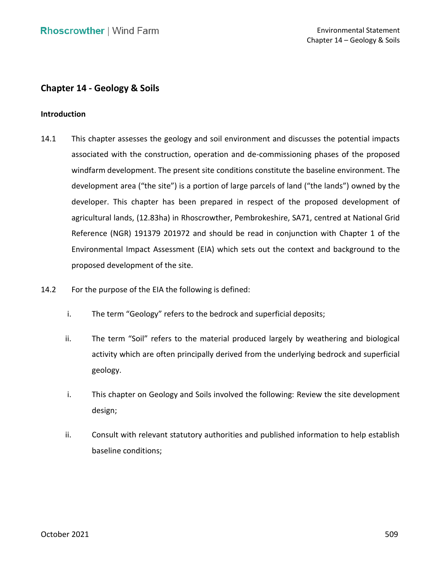# **Chapter 14 - Geology & Soils**

### **Introduction**

- 14.1 This chapter assesses the geology and soil environment and discusses the potential impacts associated with the construction, operation and de-commissioning phases of the proposed development area ("the site") is a portion of large parcels of land ("the lands") owned by the developer. This chapter has been prepared in respect of the proposed development of agricultural lands, (12.83ha) in Rhoscrowther, Pembrokeshire, SA71, centred at National Grid Reference (NGR) 191379 201972 and should be read in conjunction with Chapter 1 of the Environmental Impact Assessment (EIA) which sets out the context and background to the windfarm development. The present site conditions constitute the baseline environment. The proposed development of the site.
- 14.2 For the purpose of the EIA the following is defined:
	- i. The term "Geology" refers to the bedrock and superficial deposits;
	- ii. The term "Soil" refers to the material produced largely by weathering and biological activity which are often principally derived from the underlying bedrock and superficial geology.
	- i. This chapter on Geology and Soils involved the following: Review the site development design;
	- ii. Consult with relevant statutory authorities and published information to help establish baseline conditions;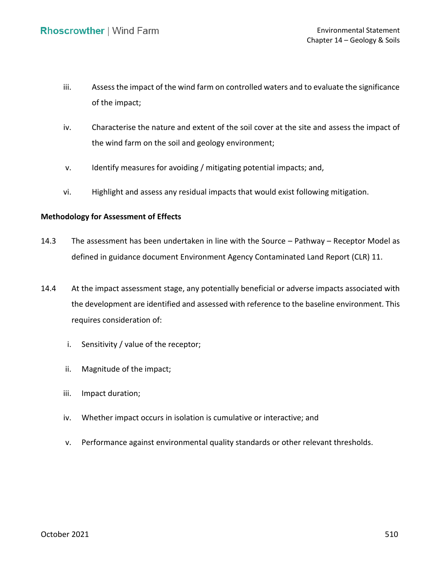- iii. Assess the impact of the wind farm on controlled waters and to evaluate the significance of the impact;
- iv. Characterise the nature and extent of the soil cover at the site and assess the impact of the wind farm on the soil and geology environment;
- v. Identify measures for avoiding / mitigating potential impacts; and,
- vi. Highlight and assess any residual impacts that would exist following mitigation.

# **Methodology for Assessment of Effects**

- 14.3 The assessment has been undertaken in line with the Source Pathway Receptor Model as defined in guidance document Environment Agency Contaminated Land Report (CLR) 11.
- 14.4 At the impact assessment stage, any potentially beneficial or adverse impacts associated with the development are identified and assessed with reference to the baseline environment. This requires consideration of:
	- i. Sensitivity / value of the receptor;
	- ii. Magnitude of the impact;
	- iii. Impact duration;
	- iv. Whether impact occurs in isolation is cumulative or interactive; and
	- v. Performance against environmental quality standards or other relevant thresholds.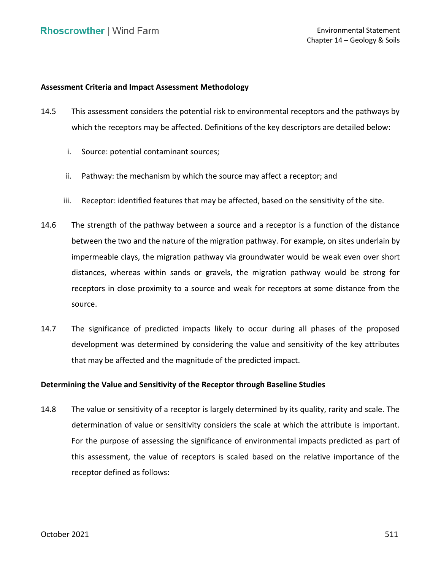## **Assessment Criteria and Impact Assessment Methodology**

- 14.5 This assessment considers the potential risk to environmental receptors and the pathways by which the receptors may be affected. Definitions of the key descriptors are detailed below:
	- i. Source: potential contaminant sources;
	- ii. Pathway: the mechanism by which the source may affect a receptor; and
	- iii. Receptor: identified features that may be affected, based on the sensitivity of the site.
- 14.6 The strength of the pathway between a source and a receptor is a function of the distance between the two and the nature of the migration pathway. For example, on sites underlain by impermeable clays, the migration pathway via groundwater would be weak even over short distances, whereas within sands or gravels, the migration pathway would be strong for receptors in close proximity to a source and weak for receptors at some distance from the source.
- 14.7 The significance of predicted impacts likely to occur during all phases of the proposed that may be affected and the magnitude of the predicted impact. development was determined by considering the value and sensitivity of the key attributes

### **Determining the Value and Sensitivity of the Receptor through Baseline Studies**

 14.8 The value or sensitivity of a receptor is largely determined by its quality, rarity and scale. The determination of value or sensitivity considers the scale at which the attribute is important. For the purpose of assessing the significance of environmental impacts predicted as part of this assessment, the value of receptors is scaled based on the relative importance of the receptor defined as follows: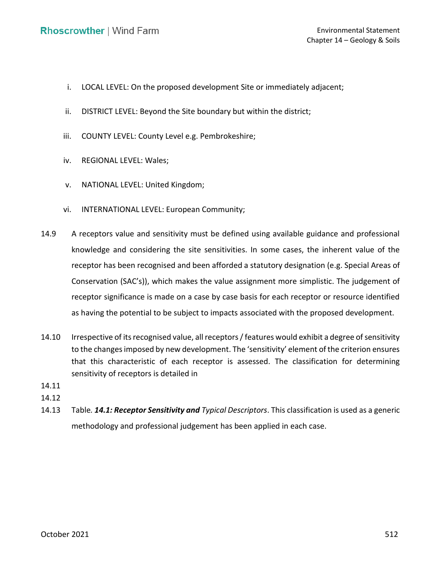- i. LOCAL LEVEL: On the proposed development Site or immediately adjacent;
- ii. DISTRICT LEVEL: Beyond the Site boundary but within the district;
- iii. COUNTY LEVEL: County Level e.g. Pembrokeshire;
- iv. REGIONAL LEVEL: Wales;
- v. NATIONAL LEVEL: United Kingdom;
- vi. INTERNATIONAL LEVEL: European Community;
- 14.9 A receptors value and sensitivity must be defined using available guidance and professional knowledge and considering the site sensitivities. In some cases, the inherent value of the receptor has been recognised and been afforded a statutory designation (e.g. Special Areas of Conservation (SAC's)), which makes the value assignment more simplistic. The judgement of receptor significance is made on a case by case basis for each receptor or resource identified as having the potential to be subject to impacts associated with the proposed development.
- 14.10 Irrespective of its recognised value, all receptors / features would exhibit a degree of sensitivity to the changes imposed by new development. The 'sensitivity' element of the criterion ensures that this characteristic of each receptor is assessed. The classification for determining sensitivity of receptors is detailed in
- [14.11](#page-3-0)
- [14.12](#page-3-0)
- <span id="page-3-0"></span> 14.13 Table*. [14.1: Receptor Sensitivity and](#page-3-0) Typical Descriptors*. This classification is used as a generic methodology and professional judgement has been applied in each case.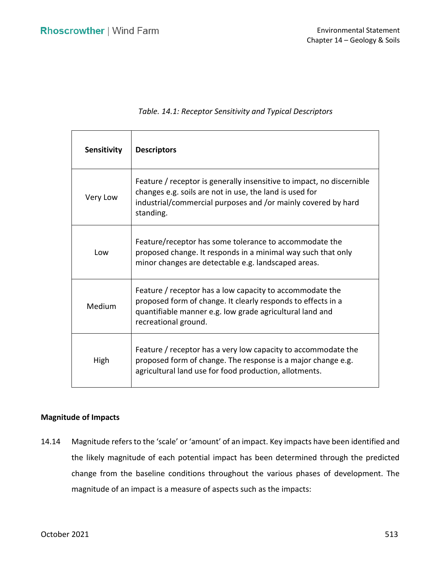| <b>Sensitivity</b> | <b>Descriptors</b>                                                                                                                                                                                             |  |
|--------------------|----------------------------------------------------------------------------------------------------------------------------------------------------------------------------------------------------------------|--|
| Very Low           | Feature / receptor is generally insensitive to impact, no discernible<br>changes e.g. soils are not in use, the land is used for<br>industrial/commercial purposes and /or mainly covered by hard<br>standing. |  |
| Low                | Feature/receptor has some tolerance to accommodate the<br>proposed change. It responds in a minimal way such that only<br>minor changes are detectable e.g. landscaped areas.                                  |  |
| Medium             | Feature / receptor has a low capacity to accommodate the<br>proposed form of change. It clearly responds to effects in a<br>quantifiable manner e.g. low grade agricultural land and<br>recreational ground.   |  |
| High               | Feature / receptor has a very low capacity to accommodate the<br>proposed form of change. The response is a major change e.g.<br>agricultural land use for food production, allotments.                        |  |

## *Table. 14.1: Receptor Sensitivity and Typical Descriptors*

## **Magnitude of Impacts**

 14.14 Magnitude refers to the 'scale' or 'amount' of an impact. Key impacts have been identified and the likely magnitude of each potential impact has been determined through the predicted change from the baseline conditions throughout the various phases of development. The magnitude of an impact is a measure of aspects such as the impacts: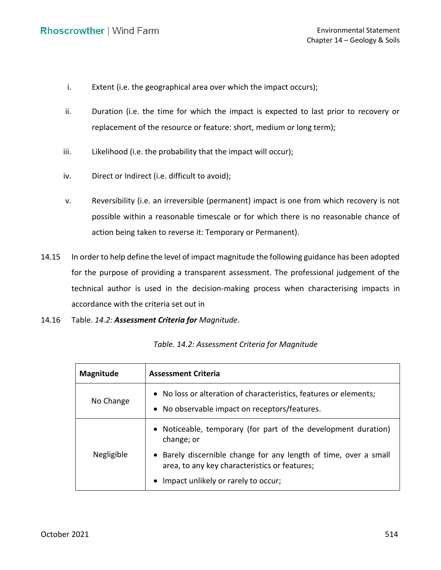- i. Extent (i.e. the geographical area over which the impact occurs);
- ii. Duration (i.e. the time for which the impact is expected to last prior to recovery or replacement of the resource or feature: short, medium or long term);
- iii. Likelihood (i.e. the probability that the impact will occur);
- iv. Direct or Indirect (i.e. difficult to avoid);
- v. Reversibility (i.e. an irreversible (permanent) impact is one from which recovery is not possible within a reasonable timescale or for which there is no reasonable chance of action being taken to reverse it: Temporary or Permanent).
- 14.15 In order to help define the level of impact magnitude the following guidance has been adopted for the purpose of providing a transparent assessment. The professional judgement of the technical author is used in the decision-making process when characterising impacts in accordance with the criteria set out in
- 14.16 Table. *14.2: [Assessment Criteria for](#page-5-0) Magnitude*.

| <b>Magnitude</b> | <b>Assessment Criteria</b>                                                                                         |  |  |
|------------------|--------------------------------------------------------------------------------------------------------------------|--|--|
| No Change        | • No loss or alteration of characteristics, features or elements;<br>• No observable impact on receptors/features. |  |  |
|                  | • Noticeable, temporary (for part of the development duration)<br>change; or                                       |  |  |
| Negligible       | • Barely discernible change for any length of time, over a small<br>area, to any key characteristics or features;  |  |  |
|                  | Impact unlikely or rarely to occur;<br>$\bullet$                                                                   |  |  |

<span id="page-5-0"></span> *Table. 14.2: Assessment Criteria for Magnitude*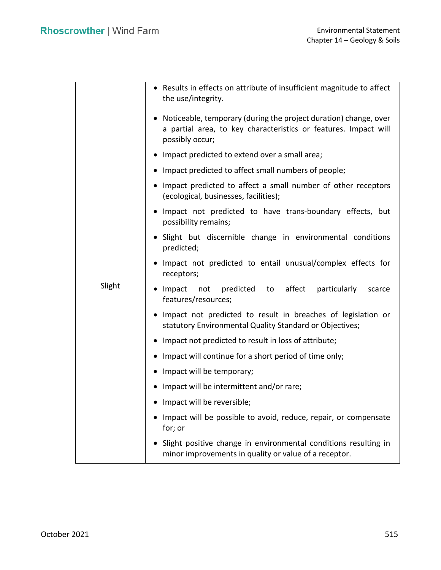|        | • Results in effects on attribute of insufficient magnitude to affect<br>the use/integrity.                                                              |  |  |  |  |
|--------|----------------------------------------------------------------------------------------------------------------------------------------------------------|--|--|--|--|
|        | • Noticeable, temporary (during the project duration) change, over<br>a partial area, to key characteristics or features. Impact will<br>possibly occur; |  |  |  |  |
|        | • Impact predicted to extend over a small area;                                                                                                          |  |  |  |  |
|        | • Impact predicted to affect small numbers of people;                                                                                                    |  |  |  |  |
|        | • Impact predicted to affect a small number of other receptors<br>(ecological, businesses, facilities);                                                  |  |  |  |  |
|        | • Impact not predicted to have trans-boundary effects, but<br>possibility remains;                                                                       |  |  |  |  |
| Slight | • Slight but discernible change in environmental conditions<br>predicted;                                                                                |  |  |  |  |
|        | • Impact not predicted to entail unusual/complex effects for<br>receptors;                                                                               |  |  |  |  |
|        | $\bullet$ Impact<br>predicted to affect particularly<br>not<br>scarce<br>features/resources;                                                             |  |  |  |  |
|        | • Impact not predicted to result in breaches of legislation or<br>statutory Environmental Quality Standard or Objectives;                                |  |  |  |  |
|        | • Impact not predicted to result in loss of attribute;                                                                                                   |  |  |  |  |
|        | • Impact will continue for a short period of time only;                                                                                                  |  |  |  |  |
|        | • Impact will be temporary;                                                                                                                              |  |  |  |  |
|        | • Impact will be intermittent and/or rare;                                                                                                               |  |  |  |  |
|        | • Impact will be reversible;                                                                                                                             |  |  |  |  |
|        | • Impact will be possible to avoid, reduce, repair, or compensate<br>for; or                                                                             |  |  |  |  |
|        | • Slight positive change in environmental conditions resulting in<br>minor improvements in quality or value of a receptor.                               |  |  |  |  |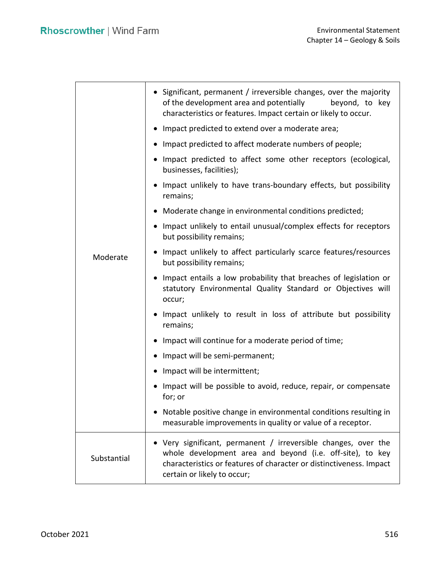|             | • Significant, permanent / irreversible changes, over the majority<br>of the development area and potentially<br>beyond, to key<br>characteristics or features. Impact certain or likely to occur.                              |  |  |  |  |
|-------------|---------------------------------------------------------------------------------------------------------------------------------------------------------------------------------------------------------------------------------|--|--|--|--|
|             | • Impact predicted to extend over a moderate area;                                                                                                                                                                              |  |  |  |  |
|             | • Impact predicted to affect moderate numbers of people;                                                                                                                                                                        |  |  |  |  |
|             | • Impact predicted to affect some other receptors (ecological,<br>businesses, facilities);                                                                                                                                      |  |  |  |  |
|             | • Impact unlikely to have trans-boundary effects, but possibility<br>remains;                                                                                                                                                   |  |  |  |  |
|             | • Moderate change in environmental conditions predicted;                                                                                                                                                                        |  |  |  |  |
|             | • Impact unlikely to entail unusual/complex effects for receptors<br>but possibility remains;                                                                                                                                   |  |  |  |  |
| Moderate    | • Impact unlikely to affect particularly scarce features/resources<br>but possibility remains;                                                                                                                                  |  |  |  |  |
|             | Impact entails a low probability that breaches of legislation or<br>statutory Environmental Quality Standard or Objectives will<br>occur;                                                                                       |  |  |  |  |
|             | . Impact unlikely to result in loss of attribute but possibility<br>remains;                                                                                                                                                    |  |  |  |  |
|             | • Impact will continue for a moderate period of time;                                                                                                                                                                           |  |  |  |  |
|             | • Impact will be semi-permanent;                                                                                                                                                                                                |  |  |  |  |
|             | • Impact will be intermittent;                                                                                                                                                                                                  |  |  |  |  |
|             | • Impact will be possible to avoid, reduce, repair, or compensate<br>for; or                                                                                                                                                    |  |  |  |  |
|             | Notable positive change in environmental conditions resulting in<br>measurable improvements in quality or value of a receptor.                                                                                                  |  |  |  |  |
| Substantial | Very significant, permanent / irreversible changes, over the<br>whole development area and beyond (i.e. off-site), to key<br>characteristics or features of character or distinctiveness. Impact<br>certain or likely to occur; |  |  |  |  |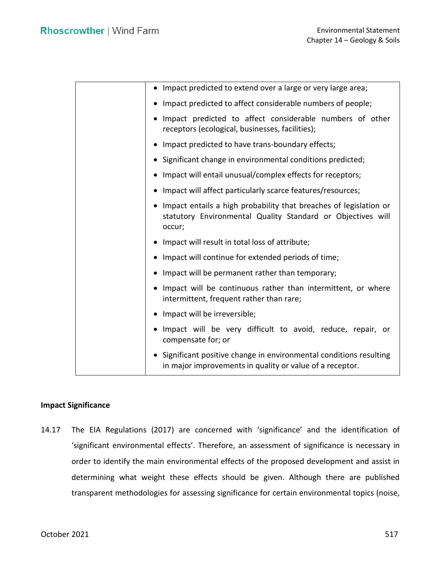| • Impact predicted to extend over a large or very large area;                                                                                |
|----------------------------------------------------------------------------------------------------------------------------------------------|
| • Impact predicted to affect considerable numbers of people;                                                                                 |
| • Impact predicted to affect considerable numbers of other<br>receptors (ecological, businesses, facilities);                                |
| • Impact predicted to have trans-boundary effects;                                                                                           |
| • Significant change in environmental conditions predicted;                                                                                  |
| • Impact will entail unusual/complex effects for receptors;                                                                                  |
| • Impact will affect particularly scarce features/resources;                                                                                 |
| • Impact entails a high probability that breaches of legislation or<br>statutory Environmental Quality Standard or Objectives will<br>occur; |
| • Impact will result in total loss of attribute;                                                                                             |
| • Impact will continue for extended periods of time;                                                                                         |
| • Impact will be permanent rather than temporary;                                                                                            |
| • Impact will be continuous rather than intermittent, or where<br>intermittent, frequent rather than rare;                                   |
| • Impact will be irreversible;                                                                                                               |
| • Impact will be very difficult to avoid, reduce, repair, or<br>compensate for; or                                                           |
| • Significant positive change in environmental conditions resulting<br>in major improvements in quality or value of a receptor.              |

# **Impact Significance**

 14.17 The EIA Regulations (2017) are concerned with 'significance' and the identification of 'significant environmental effects'. Therefore, an assessment of significance is necessary in order to identify the main environmental effects of the proposed development and assist in determining what weight these effects should be given. Although there are published transparent methodologies for assessing significance for certain environmental topics (noise,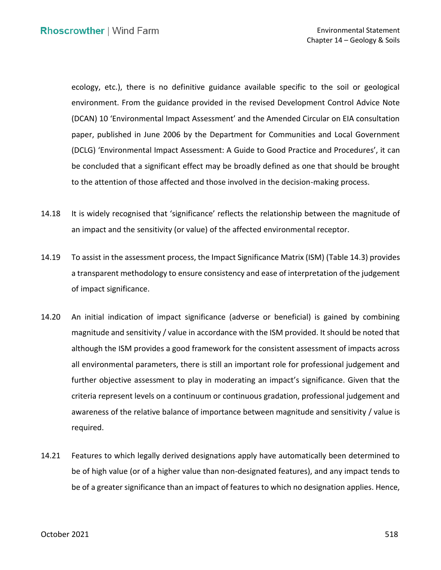ecology, etc.), there is no definitive guidance available specific to the soil or geological environment. From the guidance provided in the revised Development Control Advice Note (DCAN) 10 'Environmental Impact Assessment' and the Amended Circular on EIA consultation paper, published in June 2006 by the Department for Communities and Local Government (DCLG) 'Environmental Impact Assessment: A Guide to Good Practice and Procedures', it can be concluded that a significant effect may be broadly defined as one that should be brought to the attention of those affected and those involved in the decision-making process.

- 14.18 It is widely recognised that 'significance' reflects the relationship between the magnitude of an impact and the sensitivity (or value) of the affected environmental receptor.
- 14.19 To assist in the assessment process, the Impact Significance Matrix (ISM) (Table 14.3) provides a transparent methodology to ensure consistency and ease of interpretation of the judgement of impact significance.
- 14.20 An initial indication of impact significance (adverse or beneficial) is gained by combining magnitude and sensitivity / value in accordance with the ISM provided. It should be noted that although the ISM provides a good framework for the consistent assessment of impacts across all environmental parameters, there is still an important role for professional judgement and further objective assessment to play in moderating an impact's significance. Given that the criteria represent levels on a continuum or continuous gradation, professional judgement and awareness of the relative balance of importance between magnitude and sensitivity / value is required.
- 14.21 Features to which legally derived designations apply have automatically been determined to be of high value (or of a higher value than non-designated features), and any impact tends to be of a greater significance than an impact of features to which no designation applies. Hence,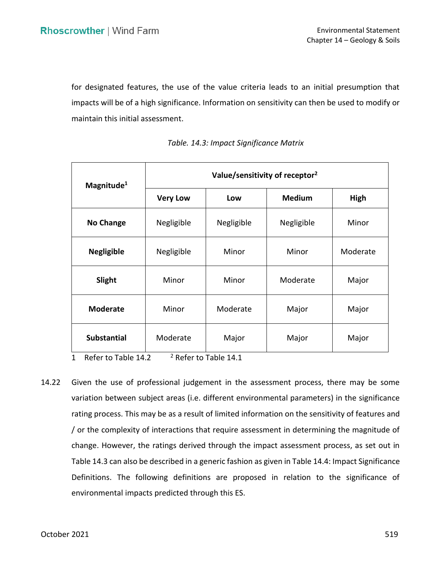for designated features, the use of the value criteria leads to an initial presumption that impacts will be of a high significance. Information on sensitivity can then be used to modify or maintain this initial assessment.

| Magnitude <sup>1</sup> | Value/sensitivity of receptor <sup>2</sup> |            |               |          |
|------------------------|--------------------------------------------|------------|---------------|----------|
|                        | <b>Very Low</b>                            | Low        | <b>Medium</b> | High     |
| <b>No Change</b>       | Negligible                                 | Negligible | Negligible    | Minor    |
| <b>Negligible</b>      | Negligible                                 | Minor      | Minor         | Moderate |
| Slight                 | Minor                                      | Minor      | Moderate      | Major    |
| <b>Moderate</b>        | Minor                                      | Moderate   | Major         | Major    |
| <b>Substantial</b>     | Moderate                                   | Major      | Major         | Major    |

*Table. 14.3: Impact Significance Matrix* 

1 Refer to Table  $14.2$  <sup>2</sup> Refer to Table 14.1

 14.22 Given the use of professional judgement in the assessment process, there may be some variation between subject areas (i.e. different environmental parameters) in the significance rating process. This may be as a result of limited information on the sensitivity of features and / or the complexity of interactions that require assessment in determining the magnitude of change. However, the ratings derived through the impact assessment process, as set out in Table 14.3 can also be described in a generic fashion as given in Table 14.4: Impact Significance Definitions. The following definitions are proposed in relation to the significance of environmental impacts predicted through this ES.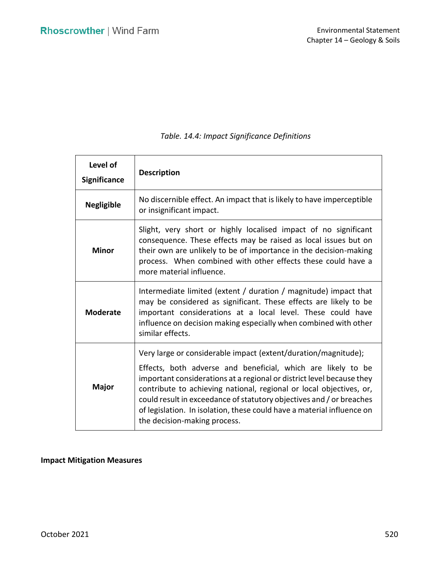| Level of<br><b>Significance</b> | <b>Description</b>                                                                                                                                                                                                                                                                                                                                                                                                                                               |  |  |
|---------------------------------|------------------------------------------------------------------------------------------------------------------------------------------------------------------------------------------------------------------------------------------------------------------------------------------------------------------------------------------------------------------------------------------------------------------------------------------------------------------|--|--|
| <b>Negligible</b>               | No discernible effect. An impact that is likely to have imperceptible<br>or insignificant impact.                                                                                                                                                                                                                                                                                                                                                                |  |  |
| Minor                           | Slight, very short or highly localised impact of no significant<br>consequence. These effects may be raised as local issues but on<br>their own are unlikely to be of importance in the decision-making<br>process. When combined with other effects these could have a<br>more material influence.                                                                                                                                                              |  |  |
| <b>Moderate</b>                 | Intermediate limited (extent / duration / magnitude) impact that<br>may be considered as significant. These effects are likely to be<br>important considerations at a local level. These could have<br>influence on decision making especially when combined with other<br>similar effects.                                                                                                                                                                      |  |  |
| <b>Major</b>                    | Very large or considerable impact (extent/duration/magnitude);<br>Effects, both adverse and beneficial, which are likely to be<br>important considerations at a regional or district level because they<br>contribute to achieving national, regional or local objectives, or,<br>could result in exceedance of statutory objectives and / or breaches<br>of legislation. In isolation, these could have a material influence on<br>the decision-making process. |  |  |

# *Table. 14.4: Impact Significance Definitions*

# **Impact Mitigation Measures**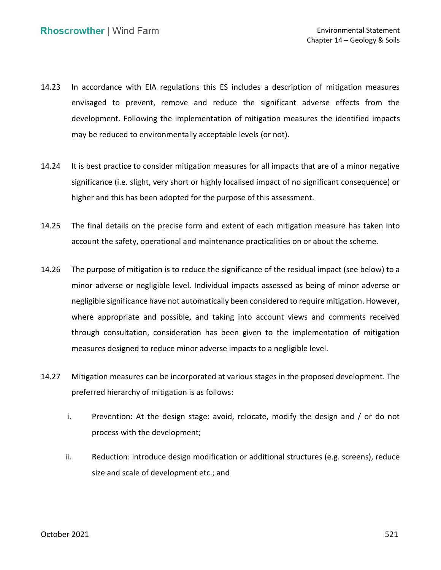- 14.23 In accordance with EIA regulations this ES includes a description of mitigation measures envisaged to prevent, remove and reduce the significant adverse effects from the development. Following the implementation of mitigation measures the identified impacts may be reduced to environmentally acceptable levels (or not).
- 14.24 It is best practice to consider mitigation measures for all impacts that are of a minor negative significance (i.e. slight, very short or highly localised impact of no significant consequence) or higher and this has been adopted for the purpose of this assessment.
- 14.25 The final details on the precise form and extent of each mitigation measure has taken into account the safety, operational and maintenance practicalities on or about the scheme.
- 14.26 The purpose of mitigation is to reduce the significance of the residual impact (see below) to a minor adverse or negligible level. Individual impacts assessed as being of minor adverse or negligible significance have not automatically been considered to require mitigation. However, where appropriate and possible, and taking into account views and comments received through consultation, consideration has been given to the implementation of mitigation measures designed to reduce minor adverse impacts to a negligible level.
- 14.27 Mitigation measures can be incorporated at various stages in the proposed development. The preferred hierarchy of mitigation is as follows:
	- i. Prevention: At the design stage: avoid, relocate, modify the design and / or do not process with the development;
	- ii. Reduction: introduce design modification or additional structures (e.g. screens), reduce size and scale of development etc.; and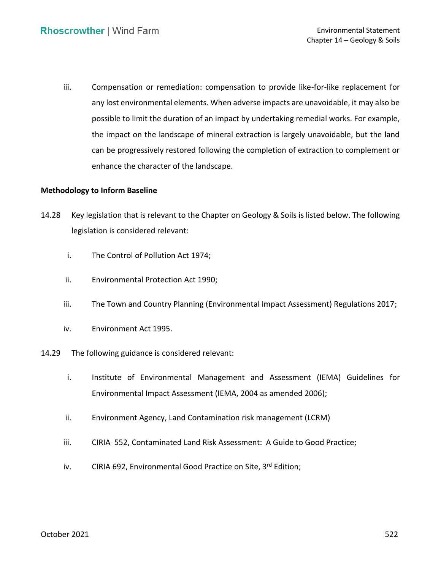iii. Compensation or remediation: compensation to provide like-for-like replacement for any lost environmental elements. When adverse impacts are unavoidable, it may also be possible to limit the duration of an impact by undertaking remedial works. For example, the impact on the landscape of mineral extraction is largely unavoidable, but the land can be progressively restored following the completion of extraction to complement or enhance the character of the landscape.

# **Methodology to Inform Baseline**

- 14.28 Key legislation that is relevant to the Chapter on Geology & Soils is listed below. The following legislation is considered relevant:
	- i. The Control of Pollution Act 1974;
	- ii. Environmental Protection Act 1990;
	- iii. The Town and Country Planning (Environmental Impact Assessment) Regulations 2017;
	- iv. Environment Act 1995.
- 14.29 The following guidance is considered relevant:
	- i. Institute of Environmental Management and Assessment (IEMA) Guidelines for Environmental Impact Assessment (IEMA, 2004 as amended 2006);
	- ii. Environment Agency, Land Contamination risk management (LCRM)
	- iii. CIRIA 552, Contaminated Land Risk Assessment: A Guide to Good Practice;
	- iv. CIRIA 692, Environmental Good Practice on Site, 3<sup>rd</sup> Edition;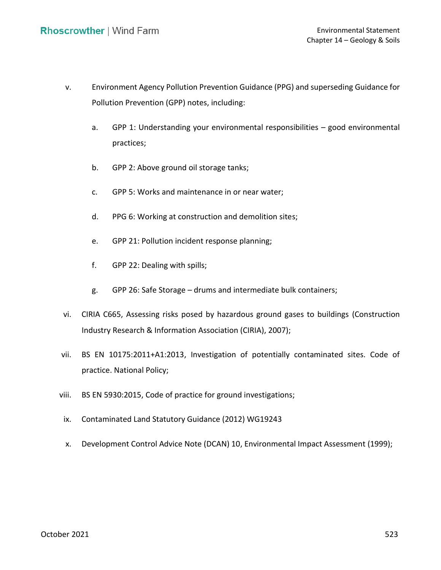- v. Environment Agency Pollution Prevention Guidance (PPG) and superseding Guidance for Pollution Prevention (GPP) notes, including:
	- a. GPP 1: Understanding your environmental responsibilities good environmental practices;
	- b. GPP 2: Above ground oil storage tanks;
	- c. GPP 5: Works and maintenance in or near water;
	- d. PPG 6: Working at construction and demolition sites;
	- e. GPP 21: Pollution incident response planning;
	- f. GPP 22: Dealing with spills;
	- g. GPP 26: Safe Storage drums and intermediate bulk containers;
- vi. CIRIA C665, Assessing risks posed by hazardous ground gases to buildings (Construction Industry Research & Information Association (CIRIA), 2007);
- vii. BS EN 10175:2011+A1:2013, Investigation of potentially contaminated sites. Code of practice. National Policy;
- viii. BS EN 5930:2015, Code of practice for ground investigations;
- ix. Contaminated Land Statutory Guidance (2012) WG19243
- x. Development Control Advice Note (DCAN) 10, Environmental Impact Assessment (1999);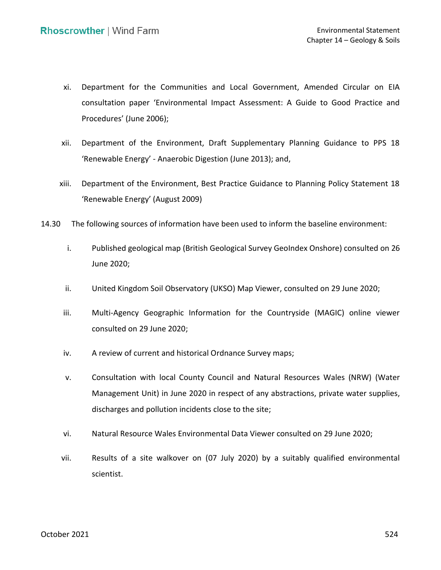- xi. Department for the Communities and Local Government, Amended Circular on EIA consultation paper 'Environmental Impact Assessment: A Guide to Good Practice and Procedures' (June 2006);
- xii. Department of the Environment, Draft Supplementary Planning Guidance to PPS 18 'Renewable Energy' - Anaerobic Digestion (June 2013); and,
- xiii. Department of the Environment, Best Practice Guidance to Planning Policy Statement 18 'Renewable Energy' (August 2009)
- 14.30 The following sources of information have been used to inform the baseline environment:
	- i. Published geological map (British Geological Survey GeoIndex Onshore) consulted on 26 June 2020;
	- ii. United Kingdom Soil Observatory (UKSO) Map Viewer, consulted on 29 June 2020;
	- iii. Multi-Agency Geographic Information for the Countryside (MAGIC) online viewer consulted on 29 June 2020;
	- iv. A review of current and historical Ordnance Survey maps;
	- v. Consultation with local County Council and Natural Resources Wales (NRW) (Water Management Unit) in June 2020 in respect of any abstractions, private water supplies, discharges and pollution incidents close to the site;
	- vi. Natural Resource Wales Environmental Data Viewer consulted on 29 June 2020;
	- vii. Results of a site walkover on (07 July 2020) by a suitably qualified environmental scientist.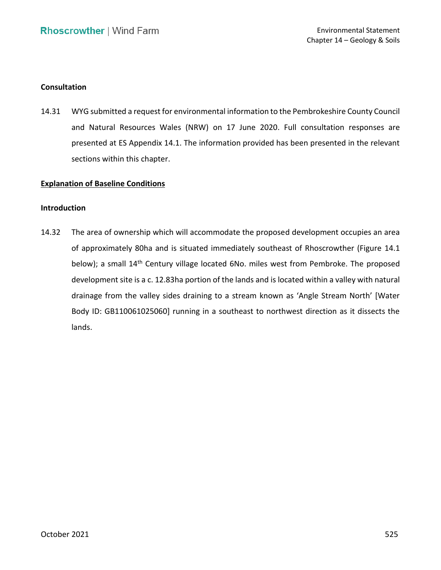## **Consultation**

 14.31 WYG submitted a request for environmental information to the Pembrokeshire County Council presented at ES Appendix 14.1. The information provided has been presented in the relevant and Natural Resources Wales (NRW) on 17 June 2020. Full consultation responses are sections within this chapter.

## **Explanation of Baseline Conditions**

## **Introduction**

 14.32 The area of ownership which will accommodate the proposed development occupies an area of approximately 80ha and is situated immediately southeast of Rhoscrowther (Figure 14.1 below); a small 14<sup>th</sup> Century village located 6No. miles west from Pembroke. The proposed development site is a c. 12.83ha portion of the lands and is located within a valley with natural drainage from the valley sides draining to a stream known as 'Angle Stream North' [Water Body ID: GB110061025060] running in a southeast to northwest direction as it dissects the lands.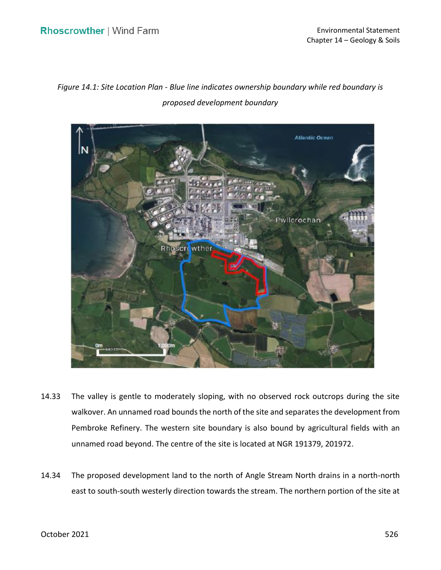*Figure 14.1: Site Location Plan - Blue line indicates ownership boundary while red boundary is proposed development boundary* 



- 14.33 The valley is gentle to moderately sloping, with no observed rock outcrops during the site walkover. An unnamed road bounds the north of the site and separates the development from Pembroke Refinery. The western site boundary is also bound by agricultural fields with an unnamed road beyond. The centre of the site is located at NGR 191379, 201972.
- 14.34 The proposed development land to the north of Angle Stream North drains in a north-north east to south-south westerly direction towards the stream. The northern portion of the site at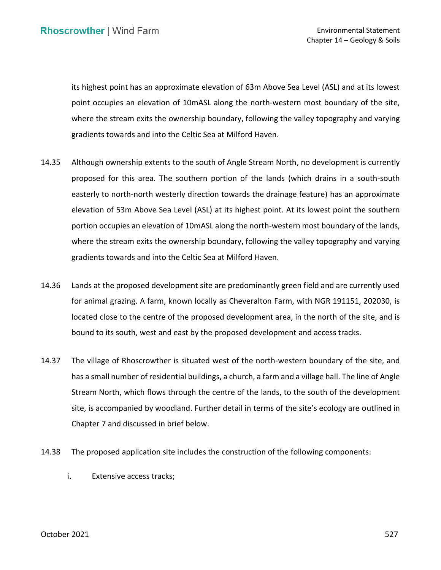its highest point has an approximate elevation of 63m Above Sea Level (ASL) and at its lowest point occupies an elevation of 10mASL along the north-western most boundary of the site, where the stream exits the ownership boundary, following the valley topography and varying gradients towards and into the Celtic Sea at Milford Haven.

- 14.35 Although ownership extents to the south of Angle Stream North, no development is currently proposed for this area. The southern portion of the lands (which drains in a south-south elevation of 53m Above Sea Level (ASL) at its highest point. At its lowest point the southern portion occupies an elevation of 10mASL along the north-western most boundary of the lands, where the stream exits the ownership boundary, following the valley topography and varying gradients towards and into the Celtic Sea at Milford Haven. easterly to north-north westerly direction towards the drainage feature) has an approximate
- 14.36 Lands at the proposed development site are predominantly green field and are currently used for animal grazing. A farm, known locally as Cheveralton Farm, with NGR 191151, 202030, is located close to the centre of the proposed development area, in the north of the site, and is bound to its south, west and east by the proposed development and access tracks.
- 14.37 The village of Rhoscrowther is situated west of the north-western boundary of the site, and has a small number of residential buildings, a church, a farm and a village hall. The line of Angle Stream North, which flows through the centre of the lands, to the south of the development site, is accompanied by woodland. Further detail in terms of the site's ecology are outlined in Chapter 7 and discussed in brief below.
- 14.38 The proposed application site includes the construction of the following components:
	- i. Extensive access tracks;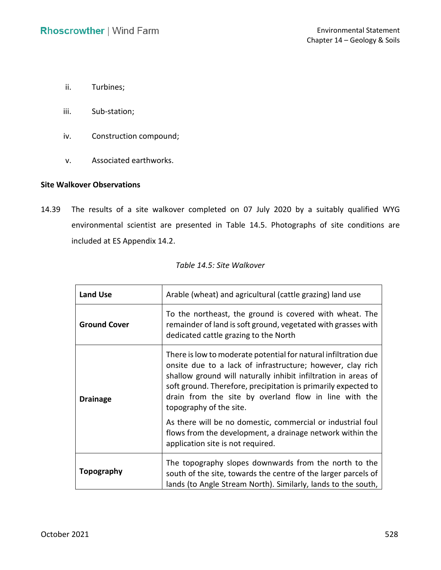- ii. Turbines;
- iii. Sub-station;
- iv. Construction compound;
- v. Associated earthworks.

### **Site Walkover Observations**

 14.39 The results of a site walkover completed on 07 July 2020 by a suitably qualified WYG environmental scientist are presented in Table 14.5. Photographs of site conditions are included at ES Appendix 14.2.

| Table 14.5: Site Walkover |  |
|---------------------------|--|
|                           |  |

| <b>Land Use</b>     | Arable (wheat) and agricultural (cattle grazing) land use                                                                                                                                                                                                                                                                                             |  |  |
|---------------------|-------------------------------------------------------------------------------------------------------------------------------------------------------------------------------------------------------------------------------------------------------------------------------------------------------------------------------------------------------|--|--|
| <b>Ground Cover</b> | To the northeast, the ground is covered with wheat. The<br>remainder of land is soft ground, vegetated with grasses with<br>dedicated cattle grazing to the North                                                                                                                                                                                     |  |  |
| <b>Drainage</b>     | There is low to moderate potential for natural infiltration due<br>onsite due to a lack of infrastructure; however, clay rich<br>shallow ground will naturally inhibit infiltration in areas of<br>soft ground. Therefore, precipitation is primarily expected to<br>drain from the site by overland flow in line with the<br>topography of the site. |  |  |
|                     | As there will be no domestic, commercial or industrial foul<br>flows from the development, a drainage network within the<br>application site is not required.                                                                                                                                                                                         |  |  |
| <b>Topography</b>   | The topography slopes downwards from the north to the<br>south of the site, towards the centre of the larger parcels of<br>lands (to Angle Stream North). Similarly, lands to the south,                                                                                                                                                              |  |  |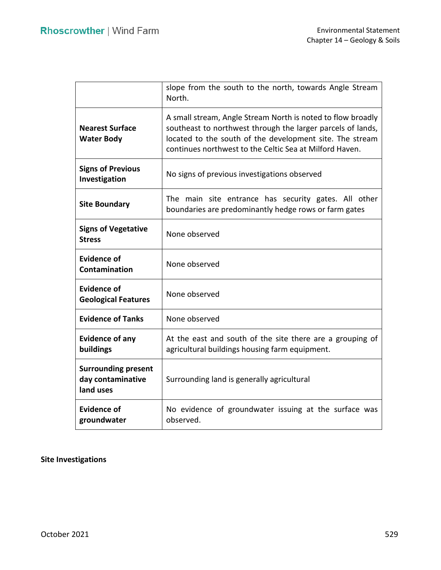|                                                              | slope from the south to the north, towards Angle Stream<br>North.                                                                                                                                                                                 |  |  |
|--------------------------------------------------------------|---------------------------------------------------------------------------------------------------------------------------------------------------------------------------------------------------------------------------------------------------|--|--|
| <b>Nearest Surface</b><br><b>Water Body</b>                  | A small stream, Angle Stream North is noted to flow broadly<br>southeast to northwest through the larger parcels of lands,<br>located to the south of the development site. The stream<br>continues northwest to the Celtic Sea at Milford Haven. |  |  |
| <b>Signs of Previous</b><br>Investigation                    | No signs of previous investigations observed                                                                                                                                                                                                      |  |  |
| <b>Site Boundary</b>                                         | The main site entrance has security gates. All other<br>boundaries are predominantly hedge rows or farm gates                                                                                                                                     |  |  |
| <b>Signs of Vegetative</b><br><b>Stress</b>                  | None observed                                                                                                                                                                                                                                     |  |  |
| <b>Evidence of</b><br>Contamination                          | None observed                                                                                                                                                                                                                                     |  |  |
| <b>Evidence of</b><br><b>Geological Features</b>             | None observed                                                                                                                                                                                                                                     |  |  |
| <b>Evidence of Tanks</b>                                     | None observed                                                                                                                                                                                                                                     |  |  |
| <b>Evidence of any</b><br>buildings                          | At the east and south of the site there are a grouping of<br>agricultural buildings housing farm equipment.                                                                                                                                       |  |  |
| <b>Surrounding present</b><br>day contaminative<br>land uses | Surrounding land is generally agricultural                                                                                                                                                                                                        |  |  |
| <b>Evidence of</b><br>groundwater                            | No evidence of groundwater issuing at the surface was<br>observed.                                                                                                                                                                                |  |  |

# **Site Investigations**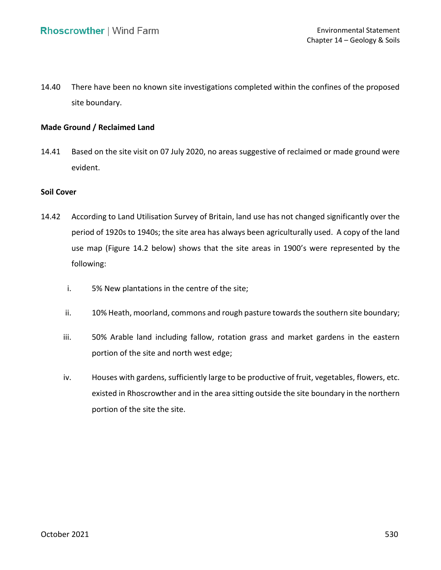14.40 There have been no known site investigations completed within the confines of the proposed site boundary.

## **Made Ground / Reclaimed Land**

 14.41 Based on the site visit on 07 July 2020, no areas suggestive of reclaimed or made ground were evident.

## **Soil Cover**

- 14.42 According to Land Utilisation Survey of Britain, land use has not changed significantly over the period of 1920s to 1940s; the site area has always been agriculturally used. A copy of the land use map (Figure 14.2 below) shows that the site areas in 1900's were represented by the following:
	- i. 5% New plantations in the centre of the site;
	- ii. 10% Heath, moorland, commons and rough pasture towards the southern site boundary;
	- iii. 50% Arable land including fallow, rotation grass and market gardens in the eastern portion of the site and north west edge;
	- iv. Houses with gardens, sufficiently large to be productive of fruit, vegetables, flowers, etc. existed in Rhoscrowther and in the area sitting outside the site boundary in the northern portion of the site the site.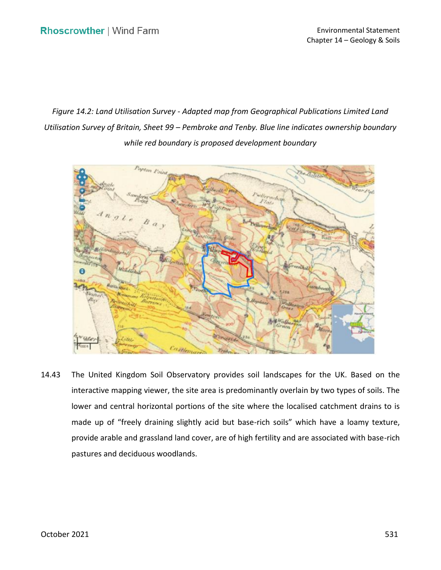*Figure 14.2: Land Utilisation Survey - Adapted map from Geographical Publications Limited Land Utilisation Survey of Britain, Sheet 99 – Pembroke and Tenby. Blue line indicates ownership boundary while red boundary is proposed development boundary* 



 14.43 The United Kingdom Soil Observatory provides soil landscapes for the UK. Based on the interactive mapping viewer, the site area is predominantly overlain by two types of soils. The made up of "freely draining slightly acid but base-rich soils" which have a loamy texture, provide arable and grassland land cover, are of high fertility and are associated with base-rich lower and central horizontal portions of the site where the localised catchment drains to is pastures and deciduous woodlands.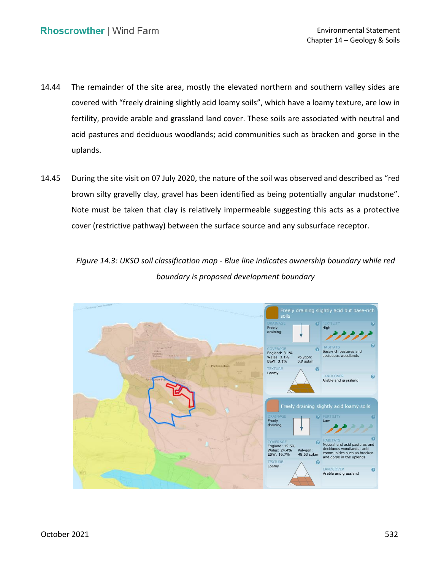- 14.44 The remainder of the site area, mostly the elevated northern and southern valley sides are covered with "freely draining slightly acid loamy soils", which have a loamy texture, are low in fertility, provide arable and grassland land cover. These soils are associated with neutral and acid pastures and deciduous woodlands; acid communities such as bracken and gorse in the uplands.
- 14.45 During the site visit on 07 July 2020, the nature of the soil was observed and described as "red brown silty gravelly clay, gravel has been identified as being potentially angular mudstone". Note must be taken that clay is relatively impermeable suggesting this acts as a protective cover (restrictive pathway) between the surface source and any subsurface receptor.

 *Figure 14.3: UKSO soil classification map - Blue line indicates ownership boundary while red boundary is proposed development boundary* 

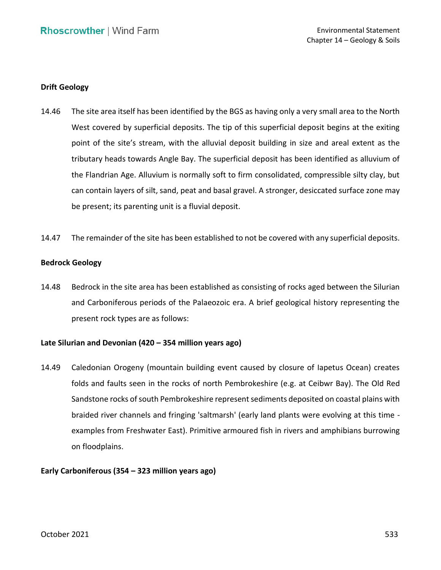## **Drift Geology**

- 14.46 The site area itself has been identified by the BGS as having only a very small area to the North West covered by superficial deposits. The tip of this superficial deposit begins at the exiting point of the site's stream, with the alluvial deposit building in size and areal extent as the tributary heads towards Angle Bay. The superficial deposit has been identified as alluvium of the Flandrian Age. Alluvium is normally soft to firm consolidated, compressible silty clay, but can contain layers of silt, sand, peat and basal gravel. A stronger, desiccated surface zone may be present; its parenting unit is a fluvial deposit.
- 14.47 The remainder of the site has been established to not be covered with any superficial deposits.

## **Bedrock Geology**

 14.48 Bedrock in the site area has been established as consisting of rocks aged between the Silurian and Carboniferous periods of the Palaeozoic era. A brief geological history representing the present rock types are as follows:

## **Late Silurian and Devonian (420 – 354 million years ago)**

 14.49 Caledonian Orogeny (mountain building event caused by closure of Iapetus Ocean) creates folds and faults seen in the rocks of north Pembrokeshire (e.g. at Ceibwr Bay). The Old Red Sandstone rocks of south Pembrokeshire represent sediments deposited on coastal plains with braided river channels and fringing 'saltmarsh' (early land plants were evolving at this time - examples from Freshwater East). Primitive armoured fish in rivers and amphibians burrowing on floodplains.

## **Early Carboniferous (354 – 323 million years ago)**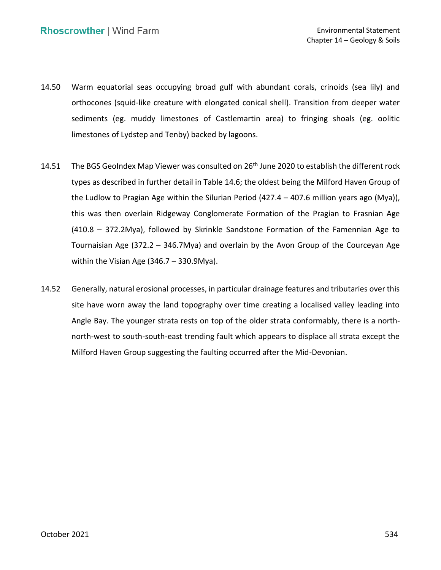- 14.50 Warm equatorial seas occupying broad gulf with abundant corals, crinoids (sea lily) and orthocones (squid-like creature with elongated conical shell). Transition from deeper water sediments (eg. muddy limestones of Castlemartin area) to fringing shoals (eg. oolitic limestones of Lydstep and Tenby) backed by lagoons.
- 14.51 The BGS GeoIndex Map Viewer was consulted on 26<sup>th</sup> June 2020 to establish the different rock types as described in further detail in Table 14.6; the oldest being the Milford Haven Group of the Ludlow to Pragian Age within the Silurian Period (427.4 – 407.6 million years ago (Mya)), this was then overlain Ridgeway Conglomerate Formation of the Pragian to Frasnian Age (410.8 – 372.2Mya), followed by Skrinkle Sandstone Formation of the Famennian Age to Tournaisian Age (372.2 – 346.7Mya) and overlain by the Avon Group of the Courceyan Age within the Visian Age (346.7 – 330.9Mya).
- 14.52 Generally, natural erosional processes, in particular drainage features and tributaries over this site have worn away the land topography over time creating a localised valley leading into Angle Bay. The younger strata rests on top of the older strata conformably, there is a north- north-west to south-south-east trending fault which appears to displace all strata except the Milford Haven Group suggesting the faulting occurred after the Mid-Devonian.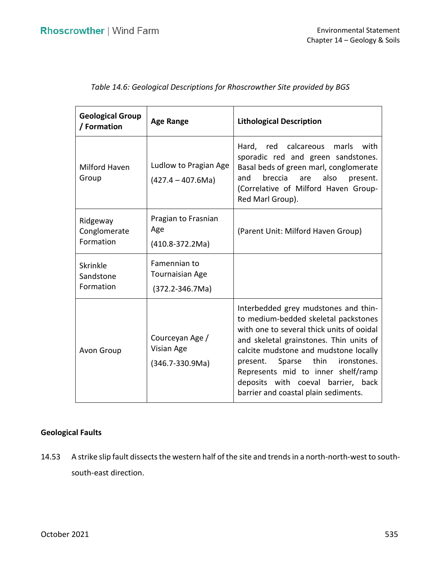| <b>Geological Group</b><br>/ Formation | <b>Age Range</b>                                                | <b>Lithological Description</b>                                                                                                                                                                                                                                                                                                                                       |  |
|----------------------------------------|-----------------------------------------------------------------|-----------------------------------------------------------------------------------------------------------------------------------------------------------------------------------------------------------------------------------------------------------------------------------------------------------------------------------------------------------------------|--|
| Milford Haven<br>Group                 | Ludlow to Pragian Age<br>$(427.4 - 407.6$ Ma)                   | Hard, red calcareous marls<br>with<br>sporadic red and green sandstones.<br>Basal beds of green marl, conglomerate<br>breccia<br>also<br>and<br>are<br>present.<br>(Correlative of Milford Haven Group-<br>Red Marl Group).                                                                                                                                           |  |
| Ridgeway<br>Conglomerate<br>Formation  | Pragian to Frasnian<br>Age<br>$(410.8-372.2Ma)$                 | (Parent Unit: Milford Haven Group)                                                                                                                                                                                                                                                                                                                                    |  |
| Skrinkle<br>Sandstone<br>Formation     | Famennian to<br><b>Tournaisian Age</b><br>$(372.2 - 346.7)$ Ma) |                                                                                                                                                                                                                                                                                                                                                                       |  |
| Avon Group                             | Courceyan Age /<br>Visian Age<br>$(346.7 - 330.9$ Ma)           | Interbedded grey mudstones and thin-<br>to medium-bedded skeletal packstones<br>with one to several thick units of ooidal<br>and skeletal grainstones. Thin units of<br>calcite mudstone and mudstone locally<br>present. Sparse thin ironstones.<br>Represents mid to inner shelf/ramp<br>deposits with coeval barrier, back<br>barrier and coastal plain sediments. |  |

|  |  |  |  | Table 14.6: Geological Descriptions for Rhoscrowther Site provided by BGS |
|--|--|--|--|---------------------------------------------------------------------------|
|--|--|--|--|---------------------------------------------------------------------------|

# **Geological Faults**

 14.53 A strike slip fault dissects the western half of the site and trends in a north-north-west to southsouth-east direction.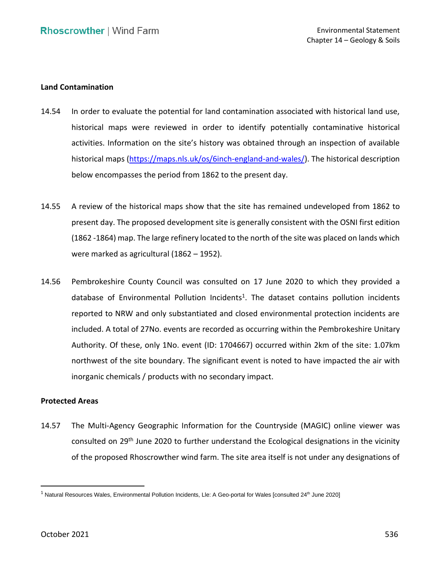### **Land Contamination**

- 14.54 In order to evaluate the potential for land contamination associated with historical land use, historical maps were reviewed in order to identify potentially contaminative historical activities. Information on the site's history was obtained through an inspection of available historical maps [\(https://maps.nls.uk/os/6inch-england-and-wales/\)](https://maps.nls.uk/os/6inch-england-and-wales/). The historical description below encompasses the period from 1862 to the present day.
- 14.55 A review of the historical maps show that the site has remained undeveloped from 1862 to present day. The proposed development site is generally consistent with the OSNI first edition (1862 -1864) map. The large refinery located to the north of the site was placed on lands which were marked as agricultural (1862 – 1952).
- 14.56 Pembrokeshire County Council was consulted on 17 June 2020 to which they provided a database of Environmental Pollution Incidents<sup>1</sup>. The dataset contains pollution incidents reported to NRW and only substantiated and closed environmental protection incidents are included. A total of 27No. events are recorded as occurring within the Pembrokeshire Unitary Authority. Of these, only 1No. event (ID: 1704667) occurred within 2km of the site: 1.07km northwest of the site boundary. The significant event is noted to have impacted the air with inorganic chemicals / products with no secondary impact.

### **Protected Areas**

 14.57 The Multi-Agency Geographic Information for the Countryside (MAGIC) online viewer was consulted on 29<sup>th</sup> June 2020 to further understand the Ecological designations in the vicinity of the proposed Rhoscrowther wind farm. The site area itself is not under any designations of

 $^1$  Natural Resources Wales, Environmental Pollution Incidents, Lle: A Geo-portal for Wales [consulted 24<sup>th</sup> June 2020]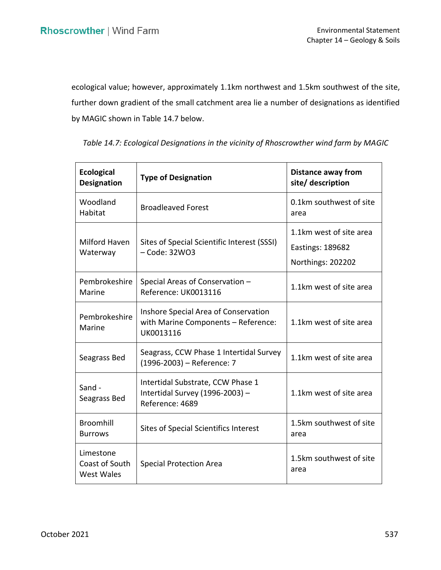ecological value; however, approximately 1.1km northwest and 1.5km southwest of the site, further down gradient of the small catchment area lie a number of designations as identified by MAGIC shown in Table 14.7 below.

| <b>Ecological</b><br><b>Designation</b>          | <b>Type of Designation</b>                                                               | <b>Distance away from</b><br>site/ description                          |  |
|--------------------------------------------------|------------------------------------------------------------------------------------------|-------------------------------------------------------------------------|--|
| Woodland<br>Habitat                              | <b>Broadleaved Forest</b>                                                                | 0.1km southwest of site<br>area                                         |  |
| Milford Haven<br>Waterway                        | Sites of Special Scientific Interest (SSSI)<br>$-$ Code: 32WO3                           | 1.1km west of site area<br><b>Eastings: 189682</b><br>Northings: 202202 |  |
| Pembrokeshire<br>Marine                          | Special Areas of Conservation -<br>Reference: UK0013116                                  | 1.1km west of site area                                                 |  |
| Pembrokeshire<br>Marine                          | Inshore Special Area of Conservation<br>with Marine Components - Reference:<br>UK0013116 | 1.1km west of site area                                                 |  |
| Seagrass Bed                                     | Seagrass, CCW Phase 1 Intertidal Survey<br>(1996-2003) - Reference: 7                    | 1.1km west of site area                                                 |  |
| Sand -<br>Seagrass Bed                           | Intertidal Substrate, CCW Phase 1<br>Intertidal Survey (1996-2003) -<br>Reference: 4689  | 1.1km west of site area                                                 |  |
| <b>Broomhill</b><br><b>Burrows</b>               | Sites of Special Scientifics Interest                                                    | 1.5km southwest of site<br>area                                         |  |
| Limestone<br>Coast of South<br><b>West Wales</b> | <b>Special Protection Area</b>                                                           | 1.5km southwest of site<br>area                                         |  |

 *Table 14.7: Ecological Designations in the vicinity of Rhoscrowther wind farm by MAGIC*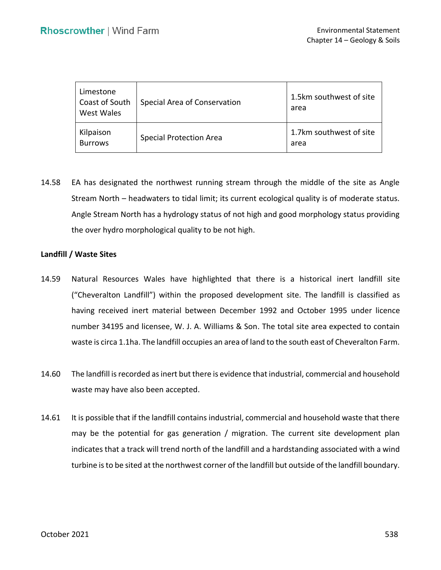| Limestone<br>Coast of South<br>West Wales | Special Area of Conservation   | 1.5km southwest of site<br>area |
|-------------------------------------------|--------------------------------|---------------------------------|
| Kilpaison<br><b>Burrows</b>               | <b>Special Protection Area</b> | 1.7km southwest of site<br>area |

 14.58 EA has designated the northwest running stream through the middle of the site as Angle Stream North – headwaters to tidal limit; its current ecological quality is of moderate status. Angle Stream North has a hydrology status of not high and good morphology status providing the over hydro morphological quality to be not high.

### **Landfill / Waste Sites**

- 14.59 Natural Resources Wales have highlighted that there is a historical inert landfill site ("Cheveralton Landfill") within the proposed development site. The landfill is classified as having received inert material between December 1992 and October 1995 under licence number 34195 and licensee, W. J. A. Williams & Son. The total site area expected to contain waste is circa 1.1ha. The landfill occupies an area of land to the south east of Cheveralton Farm.
- 14.60 The landfill is recorded as inert but there is evidence that industrial, commercial and household waste may have also been accepted.
- 14.61 It is possible that if the landfill contains industrial, commercial and household waste that there may be the potential for gas generation / migration. The current site development plan indicates that a track will trend north of the landfill and a hardstanding associated with a wind turbine is to be sited at the northwest corner of the landfill but outside of the landfill boundary.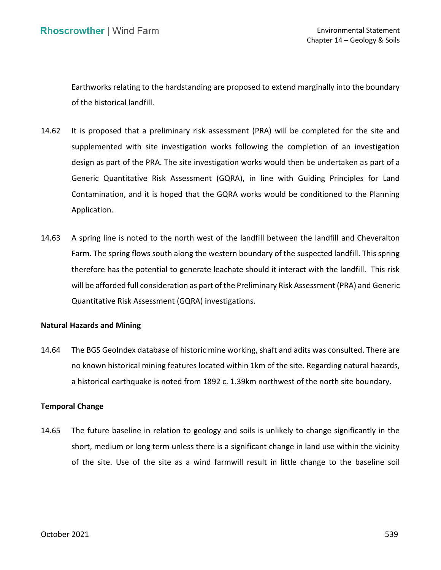Earthworks relating to the hardstanding are proposed to extend marginally into the boundary of the historical landfill.

- 14.62 It is proposed that a preliminary risk assessment (PRA) will be completed for the site and supplemented with site investigation works following the completion of an investigation design as part of the PRA. The site investigation works would then be undertaken as part of a Generic Quantitative Risk Assessment (GQRA), in line with Guiding Principles for Land Contamination, and it is hoped that the GQRA works would be conditioned to the Planning Application.
- 14.63 A spring line is noted to the north west of the landfill between the landfill and Cheveralton Farm. The spring flows south along the western boundary of the suspected landfill. This spring therefore has the potential to generate leachate should it interact with the landfill. This risk will be afforded full consideration as part of the Preliminary Risk Assessment (PRA) and Generic Quantitative Risk Assessment (GQRA) investigations.

## **Natural Hazards and Mining**

 14.64 The BGS GeoIndex database of historic mine working, shaft and adits was consulted. There are no known historical mining features located within 1km of the site. Regarding natural hazards, a historical earthquake is noted from 1892 c. 1.39km northwest of the north site boundary.

## **Temporal Change**

 14.65 The future baseline in relation to geology and soils is unlikely to change significantly in the short, medium or long term unless there is a significant change in land use within the vicinity of the site. Use of the site as a wind farmwill result in little change to the baseline soil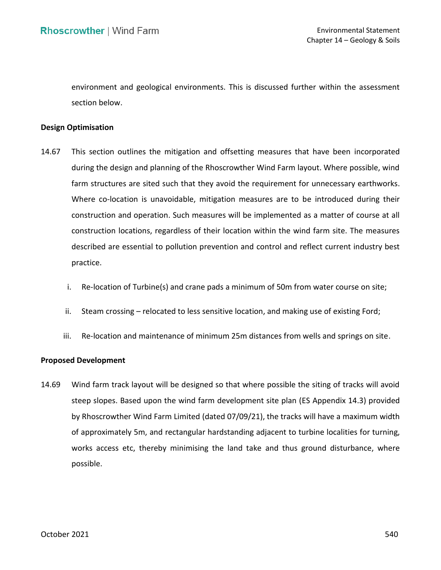environment and geological environments. This is discussed further within the assessment section below.

### **Design Optimisation**

- 14.67 This section outlines the mitigation and offsetting measures that have been incorporated during the design and planning of the Rhoscrowther Wind Farm layout. Where possible, wind farm structures are sited such that they avoid the requirement for unnecessary earthworks. Where co-location is unavoidable, mitigation measures are to be introduced during their construction and operation. Such measures will be implemented as a matter of course at all construction locations, regardless of their location within the wind farm site. The measures described are essential to pollution prevention and control and reflect current industry best practice.
	- i. Re-location of Turbine(s) and crane pads a minimum of 50m from water course on site;
	- ii. Steam crossing relocated to less sensitive location, and making use of existing Ford;
	- iii. Re-location and maintenance of minimum 25m distances from wells and springs on site.

### **Proposed Development**

 14.69 Wind farm track layout will be designed so that where possible the siting of tracks will avoid steep slopes. Based upon the wind farm development site plan (ES Appendix 14.3) provided of approximately 5m, and rectangular hardstanding adjacent to turbine localities for turning, works access etc, thereby minimising the land take and thus ground disturbance, where by Rhoscrowther Wind Farm Limited (dated 07/09/21), the tracks will have a maximum width possible.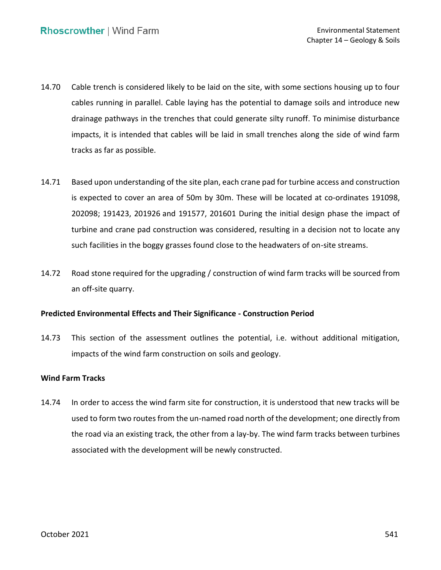- 14.70 Cable trench is considered likely to be laid on the site, with some sections housing up to four cables running in parallel. Cable laying has the potential to damage soils and introduce new drainage pathways in the trenches that could generate silty runoff. To minimise disturbance impacts, it is intended that cables will be laid in small trenches along the side of wind farm tracks as far as possible.
- 14.71 Based upon understanding of the site plan, each crane pad for turbine access and construction is expected to cover an area of 50m by 30m. These will be located at co-ordinates 191098, 202098; 191423, 201926 and 191577, 201601 During the initial design phase the impact of turbine and crane pad construction was considered, resulting in a decision not to locate any such facilities in the boggy grasses found close to the headwaters of on-site streams.
- 14.72 Road stone required for the upgrading / construction of wind farm tracks will be sourced from an off-site quarry.

## **Predicted Environmental Effects and Their Significance - Construction Period**

 14.73 This section of the assessment outlines the potential, i.e. without additional mitigation, impacts of the wind farm construction on soils and geology.

## **Wind Farm Tracks**

 14.74 In order to access the wind farm site for construction, it is understood that new tracks will be used to form two routes from the un-named road north of the development; one directly from the road via an existing track, the other from a lay-by. The wind farm tracks between turbines associated with the development will be newly constructed.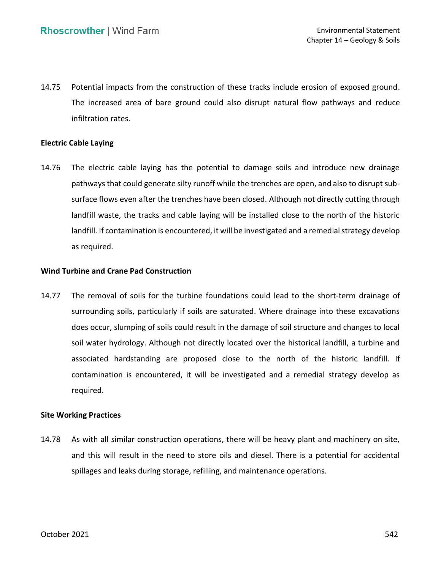14.75 Potential impacts from the construction of these tracks include erosion of exposed ground. The increased area of bare ground could also disrupt natural flow pathways and reduce infiltration rates.

## **Electric Cable Laying**

 14.76 The electric cable laying has the potential to damage soils and introduce new drainage pathways that could generate silty runoff while the trenches are open, and also to disrupt sub- surface flows even after the trenches have been closed. Although not directly cutting through landfill waste, the tracks and cable laying will be installed close to the north of the historic landfill. If contamination is encountered, it will be investigated and a remedial strategy develop as required.

# **Wind Turbine and Crane Pad Construction**

 14.77 The removal of soils for the turbine foundations could lead to the short-term drainage of surrounding soils, particularly if soils are saturated. Where drainage into these excavations does occur, slumping of soils could result in the damage of soil structure and changes to local soil water hydrology. Although not directly located over the historical landfill, a turbine and associated hardstanding are proposed close to the north of the historic landfill. If contamination is encountered, it will be investigated and a remedial strategy develop as required.

## **Site Working Practices**

 14.78 As with all similar construction operations, there will be heavy plant and machinery on site, and this will result in the need to store oils and diesel. There is a potential for accidental spillages and leaks during storage, refilling, and maintenance operations.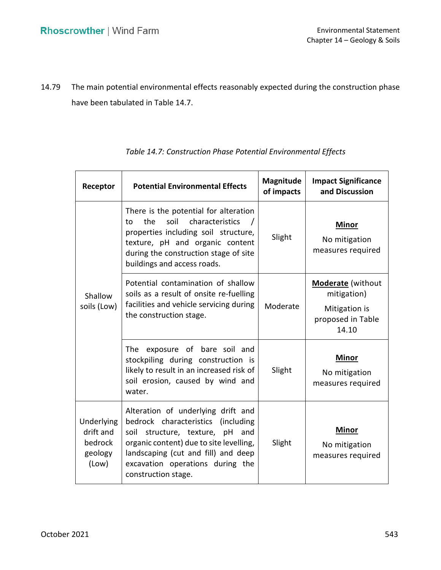14.79 The main potential environmental effects reasonably expected during the construction phase have been tabulated in Table 14.7.

| Receptor                                               | <b>Potential Environmental Effects</b>                                                                                                                                                                                                                         | Magnitude<br>of impacts | <b>Impact Significance</b><br>and Discussion                                           |
|--------------------------------------------------------|----------------------------------------------------------------------------------------------------------------------------------------------------------------------------------------------------------------------------------------------------------------|-------------------------|----------------------------------------------------------------------------------------|
| Shallow<br>soils (Low)                                 | There is the potential for alteration<br>the<br>soil<br>characteristics<br>to<br>properties including soil structure,<br>texture, pH and organic content<br>during the construction stage of site<br>buildings and access roads.                               | Slight                  | <b>Minor</b><br>No mitigation<br>measures required                                     |
|                                                        | Potential contamination of shallow<br>soils as a result of onsite re-fuelling<br>facilities and vehicle servicing during<br>the construction stage.                                                                                                            | Moderate                | <b>Moderate</b> (without<br>mitigation)<br>Mitigation is<br>proposed in Table<br>14.10 |
|                                                        | The<br>exposure of bare soil and<br>stockpiling during construction is<br>likely to result in an increased risk of<br>soil erosion, caused by wind and<br>water.                                                                                               | Slight                  | <b>Minor</b><br>No mitigation<br>measures required                                     |
| Underlying<br>drift and<br>bedrock<br>geology<br>(Low) | Alteration of underlying drift and<br>bedrock characteristics (including<br>soil<br>structure, texture, pH<br>and<br>organic content) due to site levelling,<br>landscaping (cut and fill) and deep<br>excavation operations during the<br>construction stage. | Slight                  | <b>Minor</b><br>No mitigation<br>measures required                                     |

## *Table 14.7: Construction Phase Potential Environmental Effects*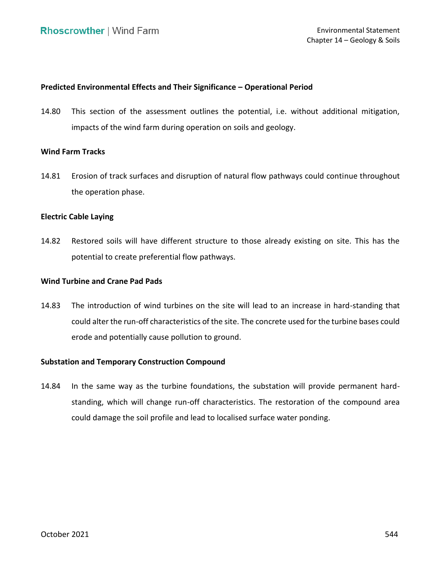## **Predicted Environmental Effects and Their Significance – Operational Period**

 14.80 This section of the assessment outlines the potential, i.e. without additional mitigation, impacts of the wind farm during operation on soils and geology.

### **Wind Farm Tracks**

 14.81 Erosion of track surfaces and disruption of natural flow pathways could continue throughout the operation phase.

### **Electric Cable Laying**

 14.82 Restored soils will have different structure to those already existing on site. This has the potential to create preferential flow pathways.

## **Wind Turbine and Crane Pad Pads**

 14.83 The introduction of wind turbines on the site will lead to an increase in hard-standing that could alter the run-off characteristics of the site. The concrete used for the turbine bases could erode and potentially cause pollution to ground.

### **Substation and Temporary Construction Compound**

 14.84 In the same way as the turbine foundations, the substation will provide permanent hard- standing, which will change run-off characteristics. The restoration of the compound area could damage the soil profile and lead to localised surface water ponding.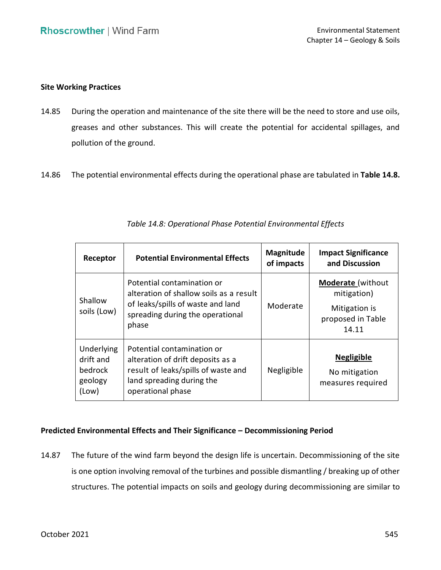## **Site Working Practices**

- 14.85 During the operation and maintenance of the site there will be the need to store and use oils, greases and other substances. This will create the potential for accidental spillages, and pollution of the ground.
- 14.86 The potential environmental effects during the operational phase are tabulated in **Table 14.8.**

| Receptor                                               | <b>Potential Environmental Effects</b>                                                                                                                   | <b>Magnitude</b><br>of impacts | <b>Impact Significance</b><br>and Discussion                                           |
|--------------------------------------------------------|----------------------------------------------------------------------------------------------------------------------------------------------------------|--------------------------------|----------------------------------------------------------------------------------------|
| Shallow<br>soils (Low)                                 | Potential contamination or<br>alteration of shallow soils as a result<br>of leaks/spills of waste and land<br>spreading during the operational<br>phase  | Moderate                       | <b>Moderate</b> (without<br>mitigation)<br>Mitigation is<br>proposed in Table<br>14.11 |
| Underlying<br>drift and<br>bedrock<br>geology<br>(Low) | Potential contamination or<br>alteration of drift deposits as a<br>result of leaks/spills of waste and<br>land spreading during the<br>operational phase | Negligible                     | <b>Negligible</b><br>No mitigation<br>measures required                                |

*Table 14.8: Operational Phase Potential Environmental Effects* 

# **Predicted Environmental Effects and Their Significance – Decommissioning Period**

 14.87 The future of the wind farm beyond the design life is uncertain. Decommissioning of the site is one option involving removal of the turbines and possible dismantling / breaking up of other structures. The potential impacts on soils and geology during decommissioning are similar to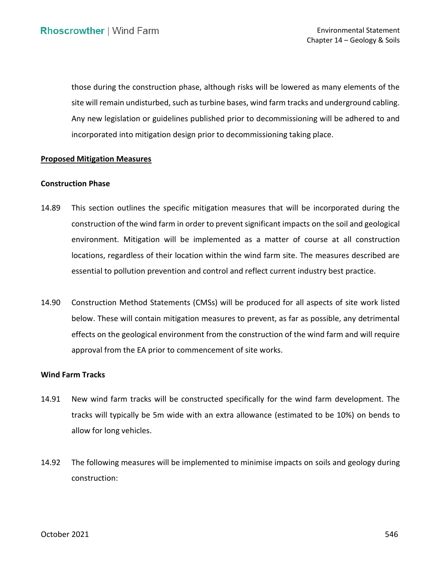those during the construction phase, although risks will be lowered as many elements of the site will remain undisturbed, such as turbine bases, wind farm tracks and underground cabling. Any new legislation or guidelines published prior to decommissioning will be adhered to and incorporated into mitigation design prior to decommissioning taking place.

### **Proposed Mitigation Measures**

### **Construction Phase**

- 14.89 This section outlines the specific mitigation measures that will be incorporated during the construction of the wind farm in order to prevent significant impacts on the soil and geological environment. Mitigation will be implemented as a matter of course at all construction locations, regardless of their location within the wind farm site. The measures described are essential to pollution prevention and control and reflect current industry best practice.
- 14.90 Construction Method Statements (CMSs) will be produced for all aspects of site work listed below. These will contain mitigation measures to prevent, as far as possible, any detrimental effects on the geological environment from the construction of the wind farm and will require approval from the EA prior to commencement of site works.

### **Wind Farm Tracks**

- 14.91 New wind farm tracks will be constructed specifically for the wind farm development. The tracks will typically be 5m wide with an extra allowance (estimated to be 10%) on bends to allow for long vehicles.
- 14.92 The following measures will be implemented to minimise impacts on soils and geology during construction: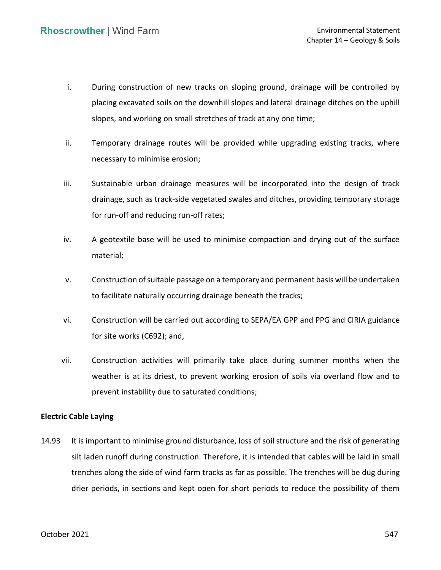- i. During construction of new tracks on sloping ground, drainage will be controlled by placing excavated soils on the downhill slopes and lateral drainage ditches on the uphill slopes, and working on small stretches of track at any one time;
- ii. Temporary drainage routes will be provided while upgrading existing tracks, where necessary to minimise erosion;
- iii. Sustainable urban drainage measures will be incorporated into the design of track drainage, such as track-side vegetated swales and ditches, providing temporary storage for run-off and reducing run-off rates;
- iv. A geotextile base will be used to minimise compaction and drying out of the surface material;
- v. Construction of suitable passage on a temporary and permanent basis will be undertaken to facilitate naturally occurring drainage beneath the tracks;
- vi. Construction will be carried out according to SEPA/EA GPP and PPG and CIRIA guidance for site works (C692); and,
- vii. Construction activities will primarily take place during summer months when the weather is at its driest, to prevent working erosion of soils via overland flow and to prevent instability due to saturated conditions;

## **Electric Cable Laying**

 14.93 It is important to minimise ground disturbance, loss of soil structure and the risk of generating silt laden runoff during construction. Therefore, it is intended that cables will be laid in small trenches along the side of wind farm tracks as far as possible. The trenches will be dug during drier periods, in sections and kept open for short periods to reduce the possibility of them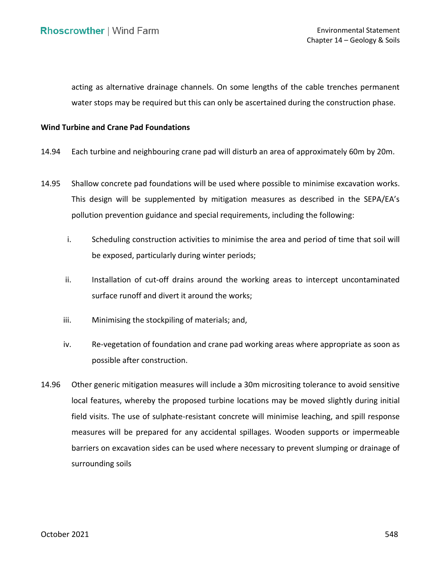water stops may be required but this can only be ascertained during the construction phase. acting as alternative drainage channels. On some lengths of the cable trenches permanent

## **Wind Turbine and Crane Pad Foundations**

- 14.94 Each turbine and neighbouring crane pad will disturb an area of approximately 60m by 20m.
- 14.95 Shallow concrete pad foundations will be used where possible to minimise excavation works. This design will be supplemented by mitigation measures as described in the SEPA/EA's pollution prevention guidance and special requirements, including the following:
	- i. Scheduling construction activities to minimise the area and period of time that soil will be exposed, particularly during winter periods;
	- ii. Installation of cut-off drains around the working areas to intercept uncontaminated surface runoff and divert it around the works;
	- iii. Minimising the stockpiling of materials; and,
	- iv. Re-vegetation of foundation and crane pad working areas where appropriate as soon as possible after construction.
- 14.96 Other generic mitigation measures will include a 30m micrositing tolerance to avoid sensitive local features, whereby the proposed turbine locations may be moved slightly during initial field visits. The use of sulphate-resistant concrete will minimise leaching, and spill response measures will be prepared for any accidental spillages. Wooden supports or impermeable barriers on excavation sides can be used where necessary to prevent slumping or drainage of surrounding soils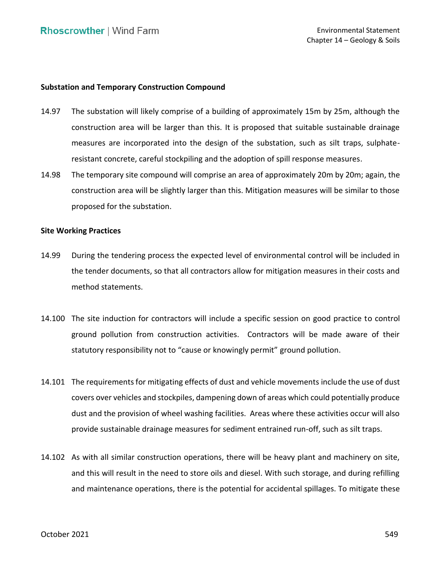## **Substation and Temporary Construction Compound**

- 14.97 The substation will likely comprise of a building of approximately 15m by 25m, although the construction area will be larger than this. It is proposed that suitable sustainable drainage measures are incorporated into the design of the substation, such as silt traps, sulphate-resistant concrete, careful stockpiling and the adoption of spill response measures.
- 14.98 The temporary site compound will comprise an area of approximately 20m by 20m; again, the construction area will be slightly larger than this. Mitigation measures will be similar to those proposed for the substation.

### **Site Working Practices**

- 14.99 During the tendering process the expected level of environmental control will be included in the tender documents, so that all contractors allow for mitigation measures in their costs and method statements.
- 14.100 The site induction for contractors will include a specific session on good practice to control ground pollution from construction activities. Contractors will be made aware of their statutory responsibility not to "cause or knowingly permit" ground pollution.
- 14.101 The requirements for mitigating effects of dust and vehicle movements include the use of dust covers over vehicles and stockpiles, dampening down of areas which could potentially produce dust and the provision of wheel washing facilities. Areas where these activities occur will also provide sustainable drainage measures for sediment entrained run-off, such as silt traps.
- 14.102 As with all similar construction operations, there will be heavy plant and machinery on site, and this will result in the need to store oils and diesel. With such storage, and during refilling and maintenance operations, there is the potential for accidental spillages. To mitigate these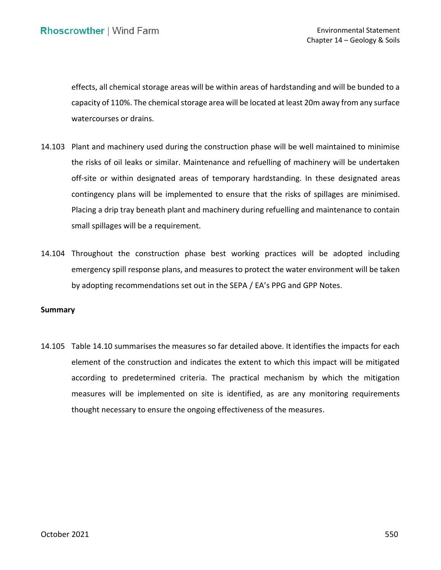effects, all chemical storage areas will be within areas of hardstanding and will be bunded to a capacity of 110%. The chemical storage area will be located at least 20m away from any surface watercourses or drains.

- 14.103 Plant and machinery used during the construction phase will be well maintained to minimise the risks of oil leaks or similar. Maintenance and refuelling of machinery will be undertaken off-site or within designated areas of temporary hardstanding. In these designated areas contingency plans will be implemented to ensure that the risks of spillages are minimised. Placing a drip tray beneath plant and machinery during refuelling and maintenance to contain small spillages will be a requirement.
- 14.104 Throughout the construction phase best working practices will be adopted including emergency spill response plans, and measures to protect the water environment will be taken by adopting recommendations set out in the SEPA / EA's PPG and GPP Notes.

### **Summary**

 14.105 Table 14.10 summarises the measures so far detailed above. It identifies the impacts for each element of the construction and indicates the extent to which this impact will be mitigated according to predetermined criteria. The practical mechanism by which the mitigation measures will be implemented on site is identified, as are any monitoring requirements thought necessary to ensure the ongoing effectiveness of the measures.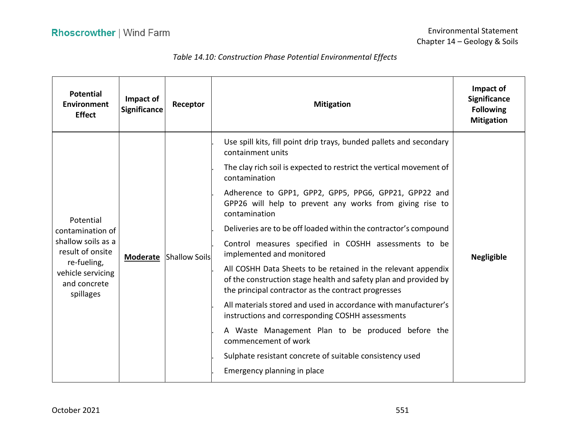## *Table 14.10: Construction Phase Potential Environmental Effects*

| <b>Potential</b><br>Environment<br><b>Effect</b>                                                        | Impact of<br><b>Significance</b> | Receptor                      | <b>Mitigation</b>                                                                                                                                                                        | Impact of<br><b>Significance</b><br><b>Following</b><br><b>Mitigation</b> |
|---------------------------------------------------------------------------------------------------------|----------------------------------|-------------------------------|------------------------------------------------------------------------------------------------------------------------------------------------------------------------------------------|---------------------------------------------------------------------------|
|                                                                                                         |                                  | <b>Moderate Shallow Soils</b> | Use spill kits, fill point drip trays, bunded pallets and secondary<br>containment units                                                                                                 | <b>Negligible</b>                                                         |
|                                                                                                         |                                  |                               | The clay rich soil is expected to restrict the vertical movement of<br>contamination                                                                                                     |                                                                           |
|                                                                                                         |                                  |                               | Adherence to GPP1, GPP2, GPP5, PPG6, GPP21, GPP22 and<br>GPP26 will help to prevent any works from giving rise to<br>contamination                                                       |                                                                           |
| Potential<br>contamination of                                                                           |                                  |                               | Deliveries are to be off loaded within the contractor's compound                                                                                                                         |                                                                           |
| shallow soils as a<br>result of onsite<br>re-fueling,<br>vehicle servicing<br>and concrete<br>spillages |                                  |                               | Control measures specified in COSHH assessments to be<br>implemented and monitored                                                                                                       |                                                                           |
|                                                                                                         |                                  |                               | All COSHH Data Sheets to be retained in the relevant appendix<br>of the construction stage health and safety plan and provided by<br>the principal contractor as the contract progresses |                                                                           |
|                                                                                                         |                                  |                               | All materials stored and used in accordance with manufacturer's<br>instructions and corresponding COSHH assessments                                                                      |                                                                           |
|                                                                                                         |                                  |                               | A Waste Management Plan to be produced before the<br>commencement of work                                                                                                                |                                                                           |
|                                                                                                         |                                  |                               | Sulphate resistant concrete of suitable consistency used                                                                                                                                 |                                                                           |
|                                                                                                         |                                  |                               | Emergency planning in place                                                                                                                                                              |                                                                           |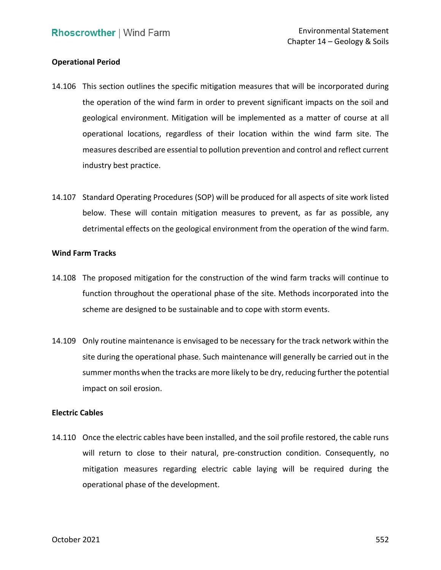## **Operational Period**

- 14.106 This section outlines the specific mitigation measures that will be incorporated during the operation of the wind farm in order to prevent significant impacts on the soil and geological environment. Mitigation will be implemented as a matter of course at all operational locations, regardless of their location within the wind farm site. The measures described are essential to pollution prevention and control and reflect current industry best practice.
- 14.107 Standard Operating Procedures (SOP) will be produced for all aspects of site work listed below. These will contain mitigation measures to prevent, as far as possible, any detrimental effects on the geological environment from the operation of the wind farm.

### **Wind Farm Tracks**

- 14.108 The proposed mitigation for the construction of the wind farm tracks will continue to function throughout the operational phase of the site. Methods incorporated into the scheme are designed to be sustainable and to cope with storm events.
- 14.109 Only routine maintenance is envisaged to be necessary for the track network within the site during the operational phase. Such maintenance will generally be carried out in the summer months when the tracks are more likely to be dry, reducing further the potential impact on soil erosion.

## **Electric Cables**

 14.110 Once the electric cables have been installed, and the soil profile restored, the cable runs will return to close to their natural, pre-construction condition. Consequently, no mitigation measures regarding electric cable laying will be required during the operational phase of the development.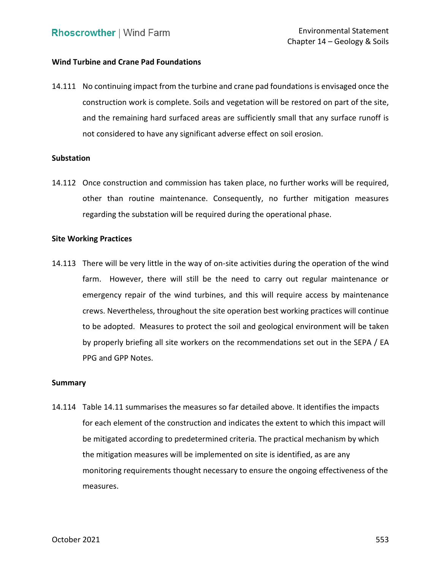## **Wind Turbine and Crane Pad Foundations**

 14.111 No continuing impact from the turbine and crane pad foundations is envisaged once the construction work is complete. Soils and vegetation will be restored on part of the site, and the remaining hard surfaced areas are sufficiently small that any surface runoff is not considered to have any significant adverse effect on soil erosion.

### **Substation**

 14.112 Once construction and commission has taken place, no further works will be required, other than routine maintenance. Consequently, no further mitigation measures regarding the substation will be required during the operational phase.

### **Site Working Practices**

 14.113 There will be very little in the way of on-site activities during the operation of the wind farm. However, there will still be the need to carry out regular maintenance or emergency repair of the wind turbines, and this will require access by maintenance crews. Nevertheless, throughout the site operation best working practices will continue to be adopted. Measures to protect the soil and geological environment will be taken by properly briefing all site workers on the recommendations set out in the SEPA / EA PPG and GPP Notes.

#### **Summary**

 14.114 Table 14.11 summarises the measures so far detailed above. It identifies the impacts for each element of the construction and indicates the extent to which this impact will be mitigated according to predetermined criteria. The practical mechanism by which monitoring requirements thought necessary to ensure the ongoing effectiveness of the the mitigation measures will be implemented on site is identified, as are any measures.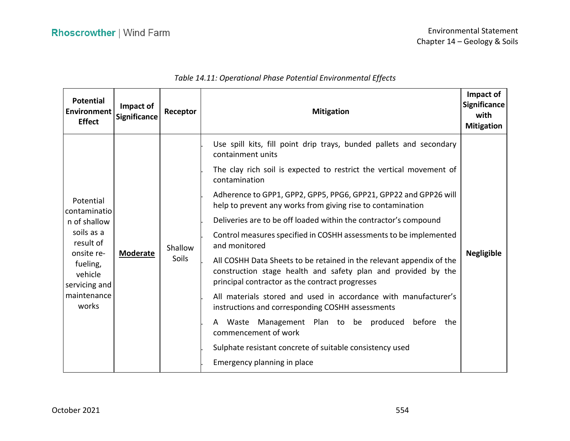| <b>Potential</b><br><b>Environment</b><br><b>Effect</b>                                                                                            | Impact of<br><b>Significance</b> | Receptor         | <b>Mitigation</b>                                                                                                                                                                                                                                                                                                                                                                                                                                                                                                                                                                                                                                                                                                                                                                                                                                                                                                                                                           | Impact of<br><b>Significance</b><br>with<br><b>Mitigation</b> |
|----------------------------------------------------------------------------------------------------------------------------------------------------|----------------------------------|------------------|-----------------------------------------------------------------------------------------------------------------------------------------------------------------------------------------------------------------------------------------------------------------------------------------------------------------------------------------------------------------------------------------------------------------------------------------------------------------------------------------------------------------------------------------------------------------------------------------------------------------------------------------------------------------------------------------------------------------------------------------------------------------------------------------------------------------------------------------------------------------------------------------------------------------------------------------------------------------------------|---------------------------------------------------------------|
| Potential<br>contaminatio<br>n of shallow<br>soils as a<br>result of<br>onsite re-<br>fueling,<br>vehicle<br>servicing and<br>maintenance<br>works | <b>Moderate</b>                  | Shallow<br>Soils | Use spill kits, fill point drip trays, bunded pallets and secondary<br>containment units<br>The clay rich soil is expected to restrict the vertical movement of<br>contamination<br>Adherence to GPP1, GPP2, GPP5, PPG6, GPP21, GPP22 and GPP26 will<br>help to prevent any works from giving rise to contamination<br>Deliveries are to be off loaded within the contractor's compound<br>Control measures specified in COSHH assessments to be implemented<br>and monitored<br>All COSHH Data Sheets to be retained in the relevant appendix of the<br>construction stage health and safety plan and provided by the<br>principal contractor as the contract progresses<br>All materials stored and used in accordance with manufacturer's<br>instructions and corresponding COSHH assessments<br>Waste Management Plan to be produced before the<br>A<br>commencement of work<br>Sulphate resistant concrete of suitable consistency used<br>Emergency planning in place | <b>Negligible</b>                                             |

# *Table 14.11: Operational Phase Potential Environmental Effects*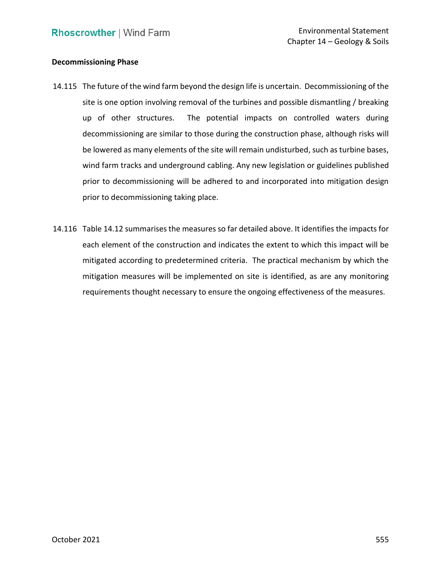### **Decommissioning Phase**

- 14.115 The future of the wind farm beyond the design life is uncertain. Decommissioning of the site is one option involving removal of the turbines and possible dismantling / breaking up of other structures. decommissioning are similar to those during the construction phase, although risks will wind farm tracks and underground cabling. Any new legislation or guidelines published prior to decommissioning will be adhered to and incorporated into mitigation design The potential impacts on controlled waters during be lowered as many elements of the site will remain undisturbed, such as turbine bases, prior to decommissioning taking place.
- 14.116 Table 14.12 summarises the measures so far detailed above. It identifies the impacts for each element of the construction and indicates the extent to which this impact will be mitigated according to predetermined criteria. The practical mechanism by which the mitigation measures will be implemented on site is identified, as are any monitoring requirements thought necessary to ensure the ongoing effectiveness of the measures.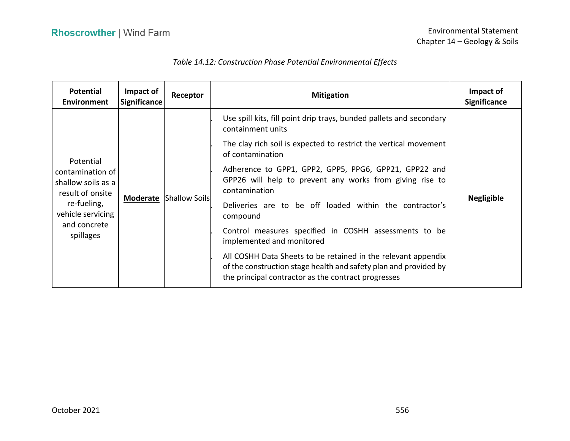## *Table 14.12: Construction Phase Potential Environmental Effects*

| <b>Potential</b><br><b>Environment</b>                                                                                                   | Impact of<br><b>Significance</b> | Receptor                      | <b>Mitigation</b>                                                                                                                                                                        | Impact of<br><b>Significance</b> |
|------------------------------------------------------------------------------------------------------------------------------------------|----------------------------------|-------------------------------|------------------------------------------------------------------------------------------------------------------------------------------------------------------------------------------|----------------------------------|
| Potential<br>contamination of<br>shallow soils as a<br>result of onsite<br>re-fueling,<br>vehicle servicing<br>and concrete<br>spillages |                                  | <b>Moderate Shallow Soils</b> | Use spill kits, fill point drip trays, bunded pallets and secondary<br>containment units<br>The clay rich soil is expected to restrict the vertical movement<br>of contamination         |                                  |
|                                                                                                                                          |                                  |                               | Adherence to GPP1, GPP2, GPP5, PPG6, GPP21, GPP22 and<br>GPP26 will help to prevent any works from giving rise to<br>contamination                                                       |                                  |
|                                                                                                                                          |                                  |                               | Deliveries are to be off loaded within the contractor's<br>compound                                                                                                                      | <b>Negligible</b>                |
|                                                                                                                                          |                                  |                               | Control measures specified in COSHH assessments to be<br>implemented and monitored                                                                                                       |                                  |
|                                                                                                                                          |                                  |                               | All COSHH Data Sheets to be retained in the relevant appendix<br>of the construction stage health and safety plan and provided by<br>the principal contractor as the contract progresses |                                  |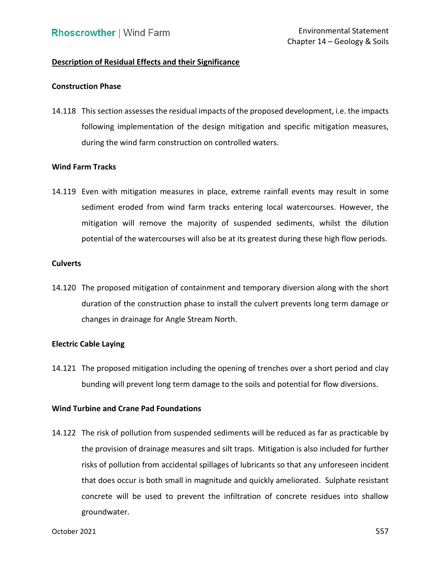# **Description of Residual Effects and their Significance**

### **Construction Phase**

 14.118 This section assesses the residual impacts of the proposed development, i.e. the impacts following implementation of the design mitigation and specific mitigation measures, during the wind farm construction on controlled waters.

## **Wind Farm Tracks**

 14.119 Even with mitigation measures in place, extreme rainfall events may result in some sediment eroded from wind farm tracks entering local watercourses. However, the mitigation will remove the majority of suspended sediments, whilst the dilution potential of the watercourses will also be at its greatest during these high flow periods.

### **Culverts**

 14.120 The proposed mitigation of containment and temporary diversion along with the short duration of the construction phase to install the culvert prevents long term damage or changes in drainage for Angle Stream North.

## **Electric Cable Laying**

 14.121 The proposed mitigation including the opening of trenches over a short period and clay bunding will prevent long term damage to the soils and potential for flow diversions.

## **Wind Turbine and Crane Pad Foundations**

 14.122 The risk of pollution from suspended sediments will be reduced as far as practicable by the provision of drainage measures and silt traps. Mitigation is also included for further risks of pollution from accidental spillages of lubricants so that any unforeseen incident that does occur is both small in magnitude and quickly ameliorated. Sulphate resistant concrete will be used to prevent the infiltration of concrete residues into shallow groundwater.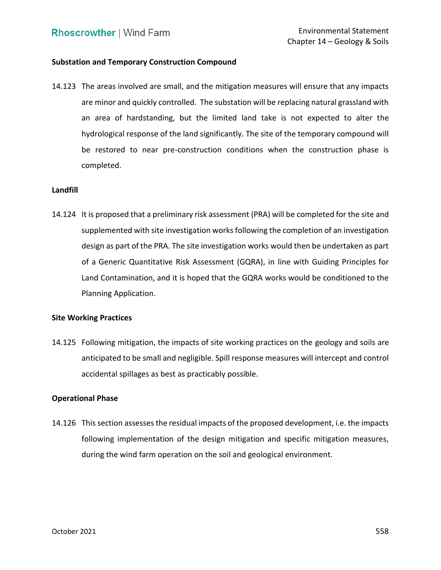## **Substation and Temporary Construction Compound**

 14.123 The areas involved are small, and the mitigation measures will ensure that any impacts are minor and quickly controlled. The substation will be replacing natural grassland with an area of hardstanding, but the limited land take is not expected to alter the hydrological response of the land significantly. The site of the temporary compound will be restored to near pre-construction conditions when the construction phase is completed.

### **Landfill**

 14.124 It is proposed that a preliminary risk assessment (PRA) will be completed for the site and supplemented with site investigation works following the completion of an investigation design as part of the PRA. The site investigation works would then be undertaken as part of a Generic Quantitative Risk Assessment (GQRA), in line with Guiding Principles for Land Contamination, and it is hoped that the GQRA works would be conditioned to the Planning Application.

## **Site Working Practices**

 14.125 Following mitigation, the impacts of site working practices on the geology and soils are anticipated to be small and negligible. Spill response measures will intercept and control accidental spillages as best as practicably possible.

### **Operational Phase**

 14.126 This section assesses the residual impacts of the proposed development, i.e. the impacts following implementation of the design mitigation and specific mitigation measures, during the wind farm operation on the soil and geological environment.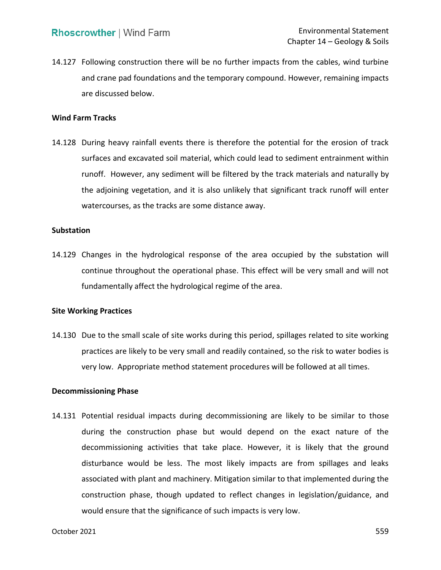14.127 Following construction there will be no further impacts from the cables, wind turbine and crane pad foundations and the temporary compound. However, remaining impacts are discussed below.

### **Wind Farm Tracks**

 14.128 During heavy rainfall events there is therefore the potential for the erosion of track surfaces and excavated soil material, which could lead to sediment entrainment within runoff. However, any sediment will be filtered by the track materials and naturally by the adjoining vegetation, and it is also unlikely that significant track runoff will enter watercourses, as the tracks are some distance away.

# **Substation**

 14.129 Changes in the hydrological response of the area occupied by the substation will continue throughout the operational phase. This effect will be very small and will not fundamentally affect the hydrological regime of the area.

### **Site Working Practices**

 14.130 Due to the small scale of site works during this period, spillages related to site working practices are likely to be very small and readily contained, so the risk to water bodies is very low. Appropriate method statement procedures will be followed at all times.

### **Decommissioning Phase**

 during the construction phase but would depend on the exact nature of the decommissioning activities that take place. However, it is likely that the ground disturbance would be less. The most likely impacts are from spillages and leaks associated with plant and machinery. Mitigation similar to that implemented during the construction phase, though updated to reflect changes in legislation/guidance, and would ensure that the significance of such impacts is very low. 14.131 Potential residual impacts during decommissioning are likely to be similar to those